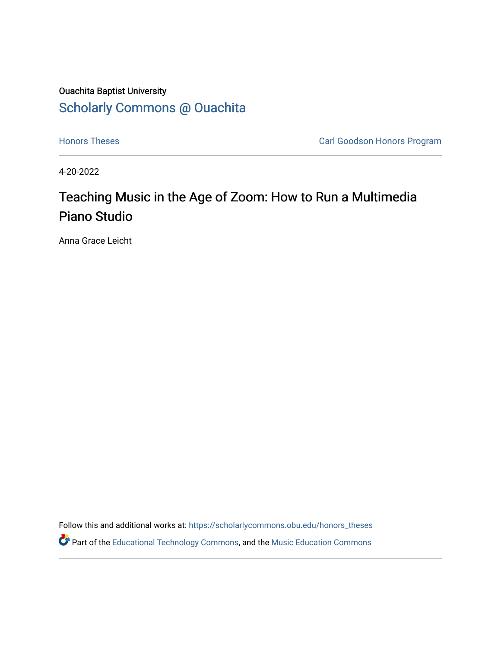# Ouachita Baptist University [Scholarly Commons @ Ouachita](https://scholarlycommons.obu.edu/)

**[Honors Theses](https://scholarlycommons.obu.edu/honors_theses) Carl Goodson Honors Program** 

4-20-2022

# Teaching Music in the Age of Zoom: How to Run a Multimedia Piano Studio

Anna Grace Leicht

Follow this and additional works at: [https://scholarlycommons.obu.edu/honors\\_theses](https://scholarlycommons.obu.edu/honors_theses?utm_source=scholarlycommons.obu.edu%2Fhonors_theses%2F838&utm_medium=PDF&utm_campaign=PDFCoverPages)  **C**<sup> $\bullet$ </sup> Part of the [Educational Technology Commons,](http://network.bepress.com/hgg/discipline/1415?utm_source=scholarlycommons.obu.edu%2Fhonors_theses%2F838&utm_medium=PDF&utm_campaign=PDFCoverPages) and the [Music Education Commons](http://network.bepress.com/hgg/discipline/1246?utm_source=scholarlycommons.obu.edu%2Fhonors_theses%2F838&utm_medium=PDF&utm_campaign=PDFCoverPages)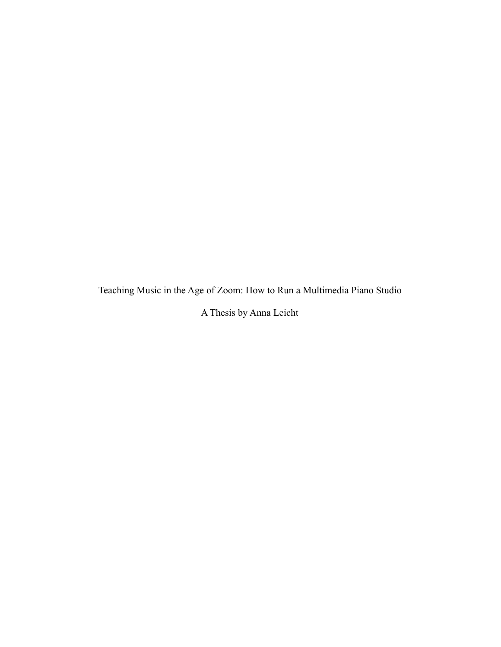Teaching Music in the Age of Zoom: How to Run a Multimedia Piano Studio

A Thesis by Anna Leicht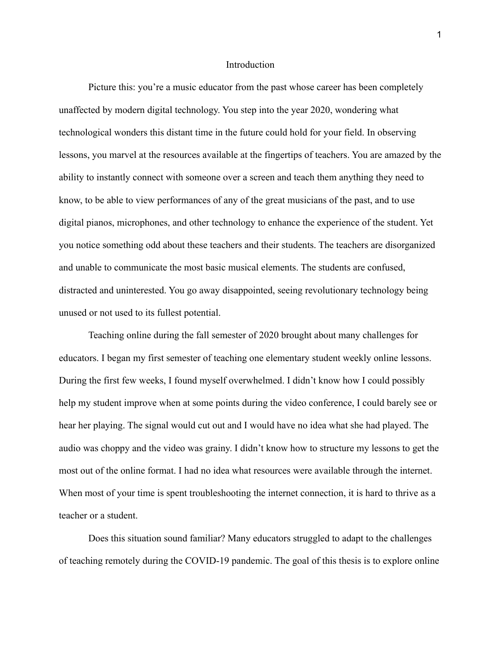#### Introduction

Picture this: you're a music educator from the past whose career has been completely unaffected by modern digital technology. You step into the year 2020, wondering what technological wonders this distant time in the future could hold for your field. In observing lessons, you marvel at the resources available at the fingertips of teachers. You are amazed by the ability to instantly connect with someone over a screen and teach them anything they need to know, to be able to view performances of any of the great musicians of the past, and to use digital pianos, microphones, and other technology to enhance the experience of the student. Yet you notice something odd about these teachers and their students. The teachers are disorganized and unable to communicate the most basic musical elements. The students are confused, distracted and uninterested. You go away disappointed, seeing revolutionary technology being unused or not used to its fullest potential.

Teaching online during the fall semester of 2020 brought about many challenges for educators. I began my first semester of teaching one elementary student weekly online lessons. During the first few weeks, I found myself overwhelmed. I didn't know how I could possibly help my student improve when at some points during the video conference, I could barely see or hear her playing. The signal would cut out and I would have no idea what she had played. The audio was choppy and the video was grainy. I didn't know how to structure my lessons to get the most out of the online format. I had no idea what resources were available through the internet. When most of your time is spent troubleshooting the internet connection, it is hard to thrive as a teacher or a student.

Does this situation sound familiar? Many educators struggled to adapt to the challenges of teaching remotely during the COVID-19 pandemic. The goal of this thesis is to explore online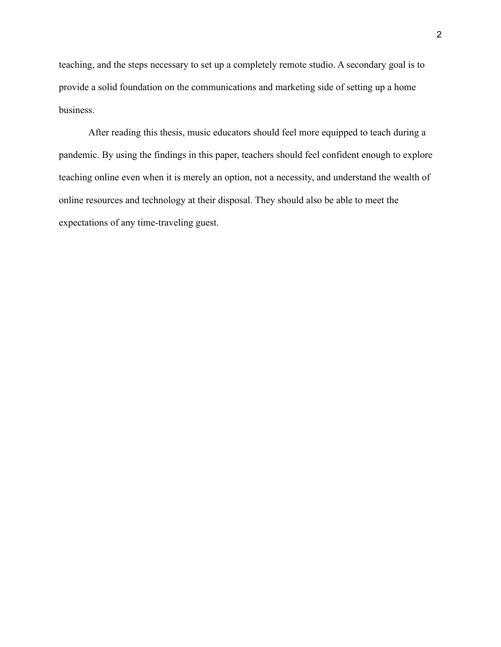teaching, and the steps necessary to set up a completely remote studio. A secondary goal is to provide a solid foundation on the communications and marketing side of setting up a home business.

After reading this thesis, music educators should feel more equipped to teach during a pandemic. By using the findings in this paper, teachers should feel confident enough to explore teaching online even when it is merely an option, not a necessity, and understand the wealth of online resources and technology at their disposal. They should also be able to meet the expectations of any time-traveling guest.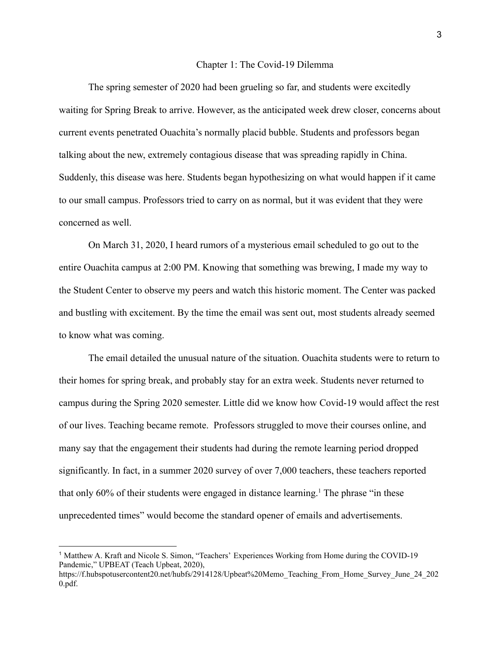#### Chapter 1: The Covid-19 Dilemma

The spring semester of 2020 had been grueling so far, and students were excitedly waiting for Spring Break to arrive. However, as the anticipated week drew closer, concerns about current events penetrated Ouachita's normally placid bubble. Students and professors began talking about the new, extremely contagious disease that was spreading rapidly in China. Suddenly, this disease was here. Students began hypothesizing on what would happen if it came to our small campus. Professors tried to carry on as normal, but it was evident that they were concerned as well.

On March 31, 2020, I heard rumors of a mysterious email scheduled to go out to the entire Ouachita campus at 2:00 PM. Knowing that something was brewing, I made my way to the Student Center to observe my peers and watch this historic moment. The Center was packed and bustling with excitement. By the time the email was sent out, most students already seemed to know what was coming.

The email detailed the unusual nature of the situation. Ouachita students were to return to their homes for spring break, and probably stay for an extra week. Students never returned to campus during the Spring 2020 semester. Little did we know how Covid-19 would affect the rest of our lives. Teaching became remote. Professors struggled to move their courses online, and many say that the engagement their students had during the remote learning period dropped significantly. In fact, in a summer 2020 survey of over 7,000 teachers, these teachers reported that only 60% of their students were engaged in distance learning.<sup>1</sup> The phrase "in these unprecedented times" would become the standard opener of emails and advertisements.

<sup>1</sup> Matthew A. Kraft and Nicole S. Simon, "Teachers' Experiences Working from Home during the COVID-19 Pandemic," UPBEAT (Teach Upbeat, 2020),

https://f.hubspotusercontent20.net/hubfs/2914128/Upbeat%20Memo\_Teaching\_From\_Home\_Survey\_June\_24\_202 0.pdf.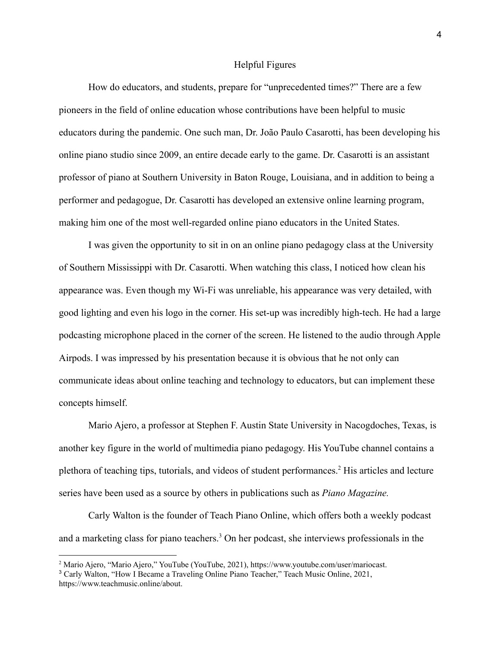#### Helpful Figures

How do educators, and students, prepare for "unprecedented times?" There are a few pioneers in the field of online education whose contributions have been helpful to music educators during the pandemic. One such man, Dr. João Paulo Casarotti, has been developing his online piano studio since 2009, an entire decade early to the game. Dr. Casarotti is an assistant professor of piano at Southern University in Baton Rouge, Louisiana, and in addition to being a performer and pedagogue, Dr. Casarotti has developed an extensive online learning program, making him one of the most well-regarded online piano educators in the United States.

I was given the opportunity to sit in on an online piano pedagogy class at the University of Southern Mississippi with Dr. Casarotti. When watching this class, I noticed how clean his appearance was. Even though my Wi-Fi was unreliable, his appearance was very detailed, with good lighting and even his logo in the corner. His set-up was incredibly high-tech. He had a large podcasting microphone placed in the corner of the screen. He listened to the audio through Apple Airpods. I was impressed by his presentation because it is obvious that he not only can communicate ideas about online teaching and technology to educators, but can implement these concepts himself.

Mario Ajero, a professor at Stephen F. Austin State University in Nacogdoches, Texas, is another key figure in the world of multimedia piano pedagogy. His YouTube channel contains a plethora of teaching tips, tutorials, and videos of student performances.<sup>2</sup> His articles and lecture series have been used as a source by others in publications such as *Piano Magazine.*

Carly Walton is the founder of Teach Piano Online, which offers both a weekly podcast and a marketing class for piano teachers.<sup>3</sup> On her podcast, she interviews professionals in the

<sup>2</sup> Mario Ajero, "Mario Ajero," YouTube (YouTube, 2021), https://www.youtube.com/user/mariocast.

<sup>3</sup> Carly Walton, "How I Became a Traveling Online Piano Teacher," Teach Music Online, 2021,

https://www.teachmusic.online/about.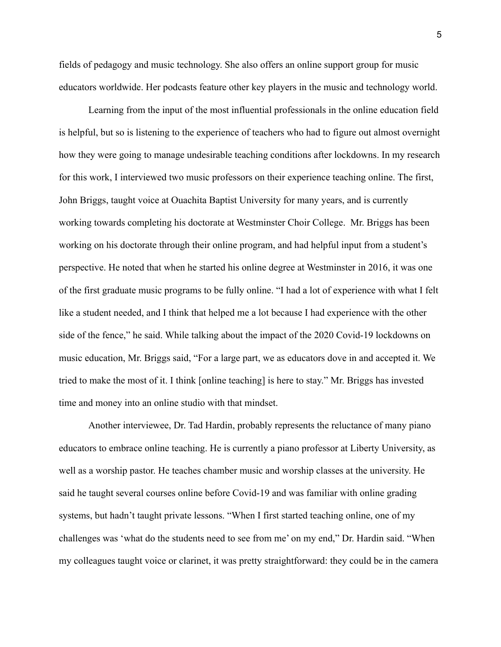fields of pedagogy and music technology. She also offers an online support group for music educators worldwide. Her podcasts feature other key players in the music and technology world.

Learning from the input of the most influential professionals in the online education field is helpful, but so is listening to the experience of teachers who had to figure out almost overnight how they were going to manage undesirable teaching conditions after lockdowns. In my research for this work, I interviewed two music professors on their experience teaching online. The first, John Briggs, taught voice at Ouachita Baptist University for many years, and is currently working towards completing his doctorate at Westminster Choir College. Mr. Briggs has been working on his doctorate through their online program, and had helpful input from a student's perspective. He noted that when he started his online degree at Westminster in 2016, it was one of the first graduate music programs to be fully online. "I had a lot of experience with what I felt like a student needed, and I think that helped me a lot because I had experience with the other side of the fence," he said. While talking about the impact of the 2020 Covid-19 lockdowns on music education, Mr. Briggs said, "For a large part, we as educators dove in and accepted it. We tried to make the most of it. I think [online teaching] is here to stay." Mr. Briggs has invested time and money into an online studio with that mindset.

Another interviewee, Dr. Tad Hardin, probably represents the reluctance of many piano educators to embrace online teaching. He is currently a piano professor at Liberty University, as well as a worship pastor. He teaches chamber music and worship classes at the university. He said he taught several courses online before Covid-19 and was familiar with online grading systems, but hadn't taught private lessons. "When I first started teaching online, one of my challenges was 'what do the students need to see from me' on my end," Dr. Hardin said. "When my colleagues taught voice or clarinet, it was pretty straightforward: they could be in the camera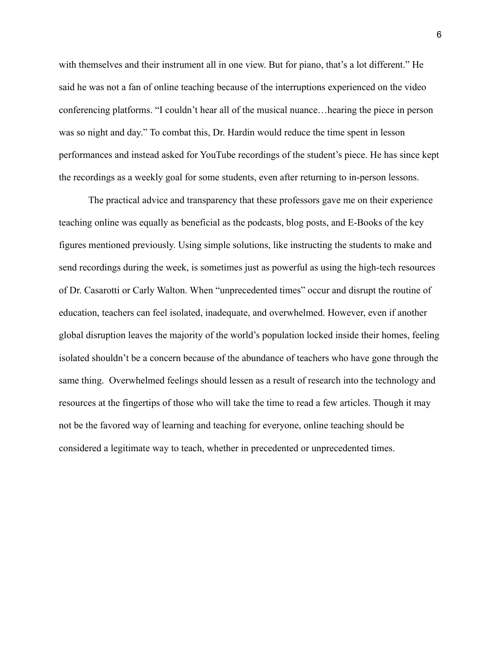with themselves and their instrument all in one view. But for piano, that's a lot different." He said he was not a fan of online teaching because of the interruptions experienced on the video conferencing platforms. "I couldn't hear all of the musical nuance…hearing the piece in person was so night and day." To combat this, Dr. Hardin would reduce the time spent in lesson performances and instead asked for YouTube recordings of the student's piece. He has since kept the recordings as a weekly goal for some students, even after returning to in-person lessons.

The practical advice and transparency that these professors gave me on their experience teaching online was equally as beneficial as the podcasts, blog posts, and E-Books of the key figures mentioned previously. Using simple solutions, like instructing the students to make and send recordings during the week, is sometimes just as powerful as using the high-tech resources of Dr. Casarotti or Carly Walton. When "unprecedented times" occur and disrupt the routine of education, teachers can feel isolated, inadequate, and overwhelmed. However, even if another global disruption leaves the majority of the world's population locked inside their homes, feeling isolated shouldn't be a concern because of the abundance of teachers who have gone through the same thing. Overwhelmed feelings should lessen as a result of research into the technology and resources at the fingertips of those who will take the time to read a few articles. Though it may not be the favored way of learning and teaching for everyone, online teaching should be considered a legitimate way to teach, whether in precedented or unprecedented times.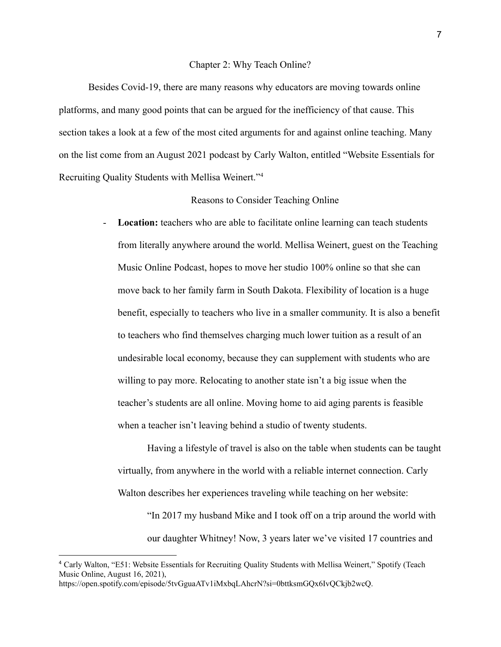#### Chapter 2: Why Teach Online?

Besides Covid-19, there are many reasons why educators are moving towards online platforms, and many good points that can be argued for the inefficiency of that cause. This section takes a look at a few of the most cited arguments for and against online teaching. Many on the list come from an August 2021 podcast by Carly Walton, entitled "Website Essentials for Recruiting Quality Students with Mellisa Weinert."<sup>4</sup>

# Reasons to Consider Teaching Online

**Location:** teachers who are able to facilitate online learning can teach students from literally anywhere around the world. Mellisa Weinert, guest on the Teaching Music Online Podcast, hopes to move her studio 100% online so that she can move back to her family farm in South Dakota. Flexibility of location is a huge benefit, especially to teachers who live in a smaller community. It is also a benefit to teachers who find themselves charging much lower tuition as a result of an undesirable local economy, because they can supplement with students who are willing to pay more. Relocating to another state isn't a big issue when the teacher's students are all online. Moving home to aid aging parents is feasible when a teacher isn't leaving behind a studio of twenty students.

Having a lifestyle of travel is also on the table when students can be taught virtually, from anywhere in the world with a reliable internet connection. Carly Walton describes her experiences traveling while teaching on her website:

"In 2017 my husband Mike and I took off on a trip around the world with our daughter Whitney! Now, 3 years later we've visited 17 countries and

<sup>4</sup> Carly Walton, "E51: Website Essentials for Recruiting Quality Students with Mellisa Weinert," Spotify (Teach Music Online, August 16, 2021),

https://open.spotify.com/episode/5tvGguaATv1iMxbqLAhcrN?si=0bttksmGQx6IvQCkjb2wcQ.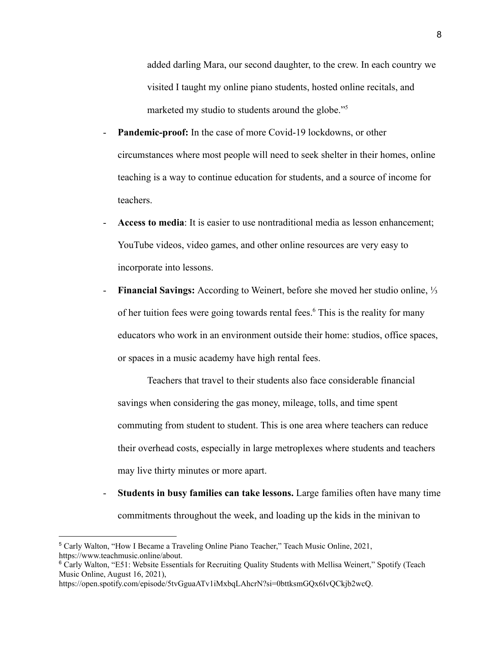added darling Mara, our second daughter, to the crew. In each country we visited I taught my online piano students, hosted online recitals, and marketed my studio to students around the globe."<sup>5</sup>

- **Pandemic-proof:** In the case of more Covid-19 lockdowns, or other circumstances where most people will need to seek shelter in their homes, online teaching is a way to continue education for students, and a source of income for teachers.
- Access to media: It is easier to use nontraditional media as lesson enhancement; YouTube videos, video games, and other online resources are very easy to incorporate into lessons.
- **Financial Savings:** According to Weinert, before she moved her studio online, ⅓ of her tuition fees were going towards rental fees.<sup>6</sup> This is the reality for many educators who work in an environment outside their home: studios, office spaces, or spaces in a music academy have high rental fees.

Teachers that travel to their students also face considerable financial savings when considering the gas money, mileage, tolls, and time spent commuting from student to student. This is one area where teachers can reduce their overhead costs, especially in large metroplexes where students and teachers may live thirty minutes or more apart.

- **Students in busy families can take lessons.** Large families often have many time commitments throughout the week, and loading up the kids in the minivan to

<sup>5</sup> Carly Walton, "How I Became a Traveling Online Piano Teacher," Teach Music Online, 2021, https://www.teachmusic.online/about.

<sup>6</sup> Carly Walton, "E51: Website Essentials for Recruiting Quality Students with Mellisa Weinert," Spotify (Teach Music Online, August 16, 2021),

https://open.spotify.com/episode/5tvGguaATv1iMxbqLAhcrN?si=0bttksmGQx6IvQCkjb2wcQ.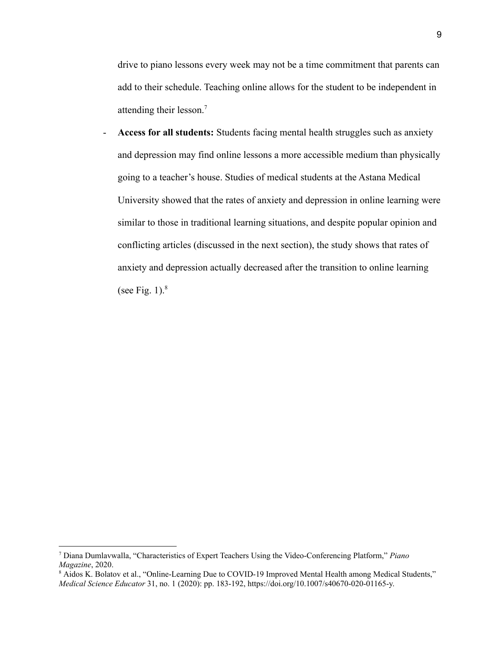drive to piano lessons every week may not be a time commitment that parents can add to their schedule. Teaching online allows for the student to be independent in attending their lesson.<sup>7</sup>

- **Access for all students:** Students facing mental health struggles such as anxiety and depression may find online lessons a more accessible medium than physically going to a teacher's house. Studies of medical students at the Astana Medical University showed that the rates of anxiety and depression in online learning were similar to those in traditional learning situations, and despite popular opinion and conflicting articles (discussed in the next section), the study shows that rates of anxiety and depression actually decreased after the transition to online learning (see Fig. 1). $8$ 

<sup>7</sup> Diana Dumlavwalla, "Characteristics of Expert Teachers Using the Video-Conferencing Platform," *Piano Magazine*, 2020.

<sup>8</sup> Aidos K. Bolatov et al., "Online-Learning Due to COVID-19 Improved Mental Health among Medical Students," *Medical Science Educator* 31, no. 1 (2020): pp. 183-192, https://doi.org/10.1007/s40670-020-01165-y.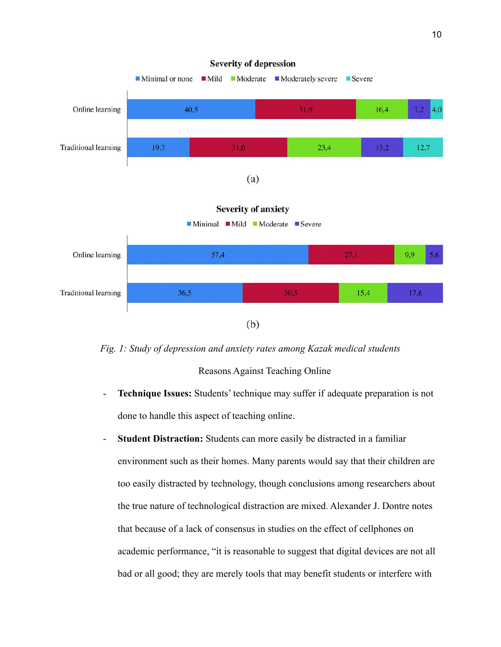

*Fig. 1: Study of depression and anxiety rates among Kazak medical students*

Reasons Against Teaching Online

- **Technique Issues:** Students' technique may suffer if adequate preparation is not done to handle this aspect of teaching online.
- **Student Distraction:** Students can more easily be distracted in a familiar environment such as their homes. Many parents would say that their children are too easily distracted by technology, though conclusions among researchers about the true nature of technological distraction are mixed. Alexander J. Dontre notes that because of a lack of consensus in studies on the effect of cellphones on academic performance, "it is reasonable to suggest that digital devices are not all bad or all good; they are merely tools that may benefit students or interfere with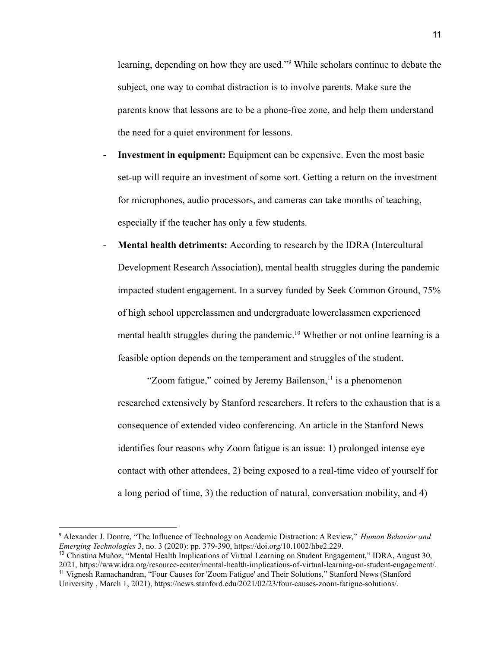learning, depending on how they are used."<sup>9</sup> While scholars continue to debate the subject, one way to combat distraction is to involve parents. Make sure the parents know that lessons are to be a phone-free zone, and help them understand the need for a quiet environment for lessons.

- **Investment in equipment:** Equipment can be expensive. Even the most basic set-up will require an investment of some sort. Getting a return on the investment for microphones, audio processors, and cameras can take months of teaching, especially if the teacher has only a few students.
- **Mental health detriments:** According to research by the IDRA (Intercultural Development Research Association), mental health struggles during the pandemic impacted student engagement. In a survey funded by Seek Common Ground, 75% of high school upperclassmen and undergraduate lowerclassmen experienced mental health struggles during the pandemic.<sup>10</sup> Whether or not online learning is a feasible option depends on the temperament and struggles of the student.

"Zoom fatigue," coined by Jeremy Bailenson, $<sup>11</sup>$  is a phenomenon</sup> researched extensively by Stanford researchers. It refers to the exhaustion that is a consequence of extended video conferencing. An article in the Stanford News identifies four reasons why Zoom fatigue is an issue: 1) prolonged intense eye contact with other attendees, 2) being exposed to a real-time video of yourself for a long period of time, 3) the reduction of natural, conversation mobility, and 4)

<sup>9</sup> Alexander J. Dontre, "The Influence of Technology on Academic Distraction: A Review," *Human Behavior and Emerging Technologies* 3, no. 3 (2020): pp. 379-390, https://doi.org/10.1002/hbe2.229.

<sup>11</sup> Vignesh Ramachandran, "Four Causes for 'Zoom Fatigue' and Their Solutions," Stanford News (Stanford University , March 1, 2021), https://news.stanford.edu/2021/02/23/four-causes-zoom-fatigue-solutions/. <sup>10</sup> Christina Muñoz, "Mental Health Implications of Virtual Learning on Student Engagement," IDRA, August 30, 2021, https://www.idra.org/resource-center/mental-health-implications-of-virtual-learning-on-student-engagement/.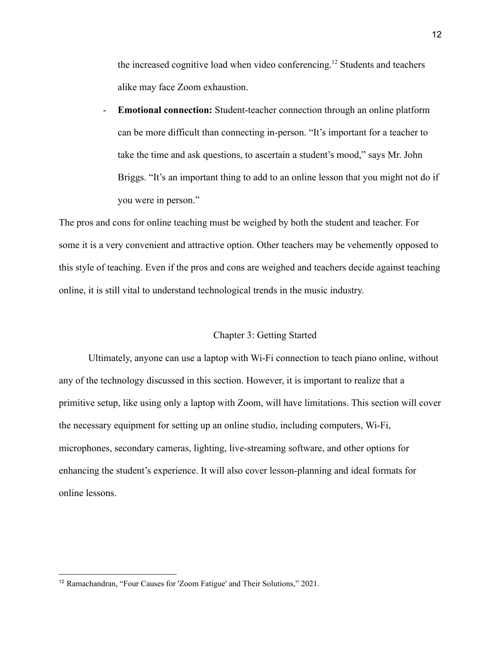the increased cognitive load when video conferencing.<sup>12</sup> Students and teachers alike may face Zoom exhaustion.

- **Emotional connection:** Student-teacher connection through an online platform can be more difficult than connecting in-person. "It's important for a teacher to take the time and ask questions, to ascertain a student's mood," says Mr. John Briggs. "It's an important thing to add to an online lesson that you might not do if you were in person."

The pros and cons for online teaching must be weighed by both the student and teacher. For some it is a very convenient and attractive option. Other teachers may be vehemently opposed to this style of teaching. Even if the pros and cons are weighed and teachers decide against teaching online, it is still vital to understand technological trends in the music industry.

### Chapter 3: Getting Started

Ultimately, anyone can use a laptop with Wi-Fi connection to teach piano online, without any of the technology discussed in this section. However, it is important to realize that a primitive setup, like using only a laptop with Zoom, will have limitations. This section will cover the necessary equipment for setting up an online studio, including computers, Wi-Fi, microphones, secondary cameras, lighting, live-streaming software, and other options for enhancing the student's experience. It will also cover lesson-planning and ideal formats for online lessons.

<sup>12</sup> Ramachandran, "Four Causes for 'Zoom Fatigue' and Their Solutions," 2021.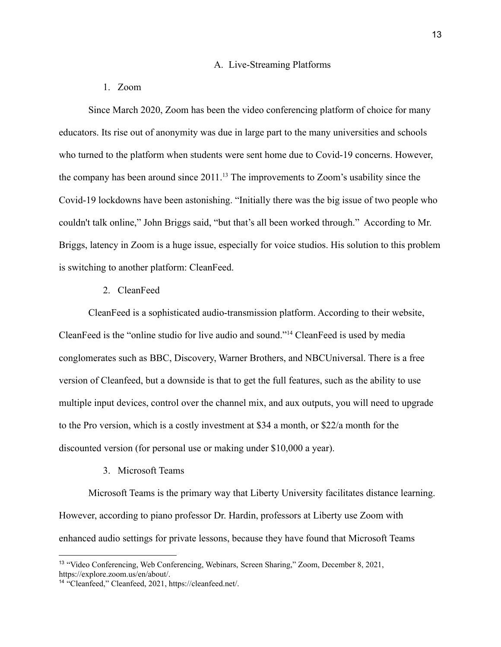#### A. Live-Streaming Platforms

# 1. Zoom

Since March 2020, Zoom has been the video conferencing platform of choice for many educators. Its rise out of anonymity was due in large part to the many universities and schools who turned to the platform when students were sent home due to Covid-19 concerns. However, the company has been around since  $2011$ .<sup>13</sup> The improvements to Zoom's usability since the Covid-19 lockdowns have been astonishing. "Initially there was the big issue of two people who couldn't talk online," John Briggs said, "but that's all been worked through." According to Mr. Briggs, latency in Zoom is a huge issue, especially for voice studios. His solution to this problem is switching to another platform: CleanFeed.

#### 2. CleanFeed

CleanFeed is a sophisticated audio-transmission platform. According to their website, CleanFeed is the "online studio for live audio and sound."<sup>14</sup> CleanFeed is used by media conglomerates such as BBC, Discovery, Warner Brothers, and NBCUniversal. There is a free version of Cleanfeed, but a downside is that to get the full features, such as the ability to use multiple input devices, control over the channel mix, and aux outputs, you will need to upgrade to the Pro version, which is a costly investment at \$34 a month, or \$22/a month for the discounted version (for personal use or making under \$10,000 a year).

#### 3. Microsoft Teams

Microsoft Teams is the primary way that Liberty University facilitates distance learning. However, according to piano professor Dr. Hardin, professors at Liberty use Zoom with enhanced audio settings for private lessons, because they have found that Microsoft Teams

<sup>13</sup> "Video Conferencing, Web Conferencing, Webinars, Screen Sharing," Zoom, December 8, 2021, https://explore.zoom.us/en/about/.

<sup>14</sup> "Cleanfeed," Cleanfeed, 2021, https://cleanfeed.net/.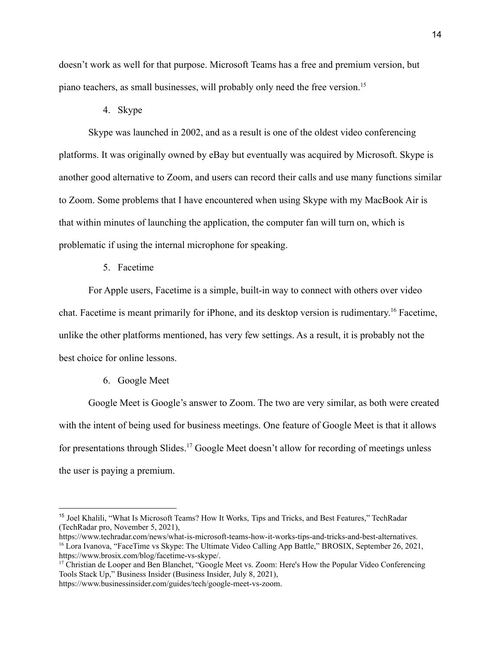doesn't work as well for that purpose. Microsoft Teams has a free and premium version, but piano teachers, as small businesses, will probably only need the free version.<sup>15</sup>

4. Skype

Skype was launched in 2002, and as a result is one of the oldest video conferencing platforms. It was originally owned by eBay but eventually was acquired by Microsoft. Skype is another good alternative to Zoom, and users can record their calls and use many functions similar to Zoom. Some problems that I have encountered when using Skype with my MacBook Air is that within minutes of launching the application, the computer fan will turn on, which is problematic if using the internal microphone for speaking.

5. Facetime

For Apple users, Facetime is a simple, built-in way to connect with others over video chat. Facetime is meant primarily for iPhone, and its desktop version is rudimentary. <sup>16</sup> Facetime, unlike the other platforms mentioned, has very few settings. As a result, it is probably not the best choice for online lessons.

6. Google Meet

Google Meet is Google's answer to Zoom. The two are very similar, as both were created with the intent of being used for business meetings. One feature of Google Meet is that it allows for presentations through Slides.<sup>17</sup> Google Meet doesn't allow for recording of meetings unless the user is paying a premium.

https://www.businessinsider.com/guides/tech/google-meet-vs-zoom.

<sup>&</sup>lt;sup>15</sup> Joel Khalili, "What Is Microsoft Teams? How It Works, Tips and Tricks, and Best Features," TechRadar (TechRadar pro, November 5, 2021),

<sup>&</sup>lt;sup>16</sup> Lora Ivanova, "FaceTime vs Skype: The Ultimate Video Calling App Battle," BROSIX, September 26, 2021, https://www.brosix.com/blog/facetime-vs-skype/. https://www.techradar.com/news/what-is-microsoft-teams-how-it-works-tips-and-tricks-and-best-alternatives.

<sup>&</sup>lt;sup>17</sup> Christian de Looper and Ben Blanchet, "Google Meet vs. Zoom: Here's How the Popular Video Conferencing Tools Stack Up," Business Insider (Business Insider, July 8, 2021),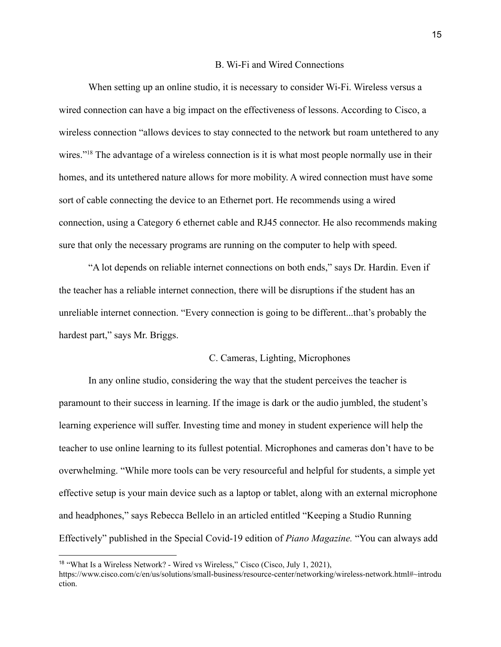#### B. Wi-Fi and Wired Connections

When setting up an online studio, it is necessary to consider Wi-Fi. Wireless versus a wired connection can have a big impact on the effectiveness of lessons. According to Cisco, a wireless connection "allows devices to stay connected to the network but roam untethered to any wires."<sup>18</sup> The advantage of a wireless connection is it is what most people normally use in their homes, and its untethered nature allows for more mobility. A wired connection must have some sort of cable connecting the device to an Ethernet port. He recommends using a wired connection, using a Category 6 ethernet cable and RJ45 connector. He also recommends making sure that only the necessary programs are running on the computer to help with speed.

"A lot depends on reliable internet connections on both ends," says Dr. Hardin. Even if the teacher has a reliable internet connection, there will be disruptions if the student has an unreliable internet connection. "Every connection is going to be different...that's probably the hardest part," says Mr. Briggs.

#### C. Cameras, Lighting, Microphones

In any online studio, considering the way that the student perceives the teacher is paramount to their success in learning. If the image is dark or the audio jumbled, the student's learning experience will suffer. Investing time and money in student experience will help the teacher to use online learning to its fullest potential. Microphones and cameras don't have to be overwhelming. "While more tools can be very resourceful and helpful for students, a simple yet effective setup is your main device such as a laptop or tablet, along with an external microphone and headphones," says Rebecca Bellelo in an articled entitled "Keeping a Studio Running Effectively" published in the Special Covid-19 edition of *Piano Magazine.* "You can always add

<sup>18</sup> "What Is a Wireless Network? - Wired vs Wireless," Cisco (Cisco, July 1, 2021),

https://www.cisco.com/c/en/us/solutions/small-business/resource-center/networking/wireless-network.html#~introdu ction.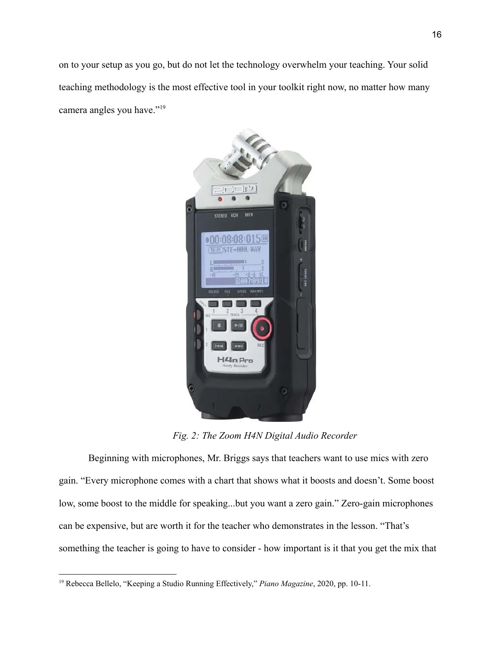on to your setup as you go, but do not let the technology overwhelm your teaching. Your solid teaching methodology is the most effective tool in your toolkit right now, no matter how many camera angles you have."<sup>19</sup>



*Fig. 2: The Zoom H4N Digital Audio Recorder*

Beginning with microphones, Mr. Briggs says that teachers want to use mics with zero gain. "Every microphone comes with a chart that shows what it boosts and doesn't. Some boost low, some boost to the middle for speaking...but you want a zero gain." Zero-gain microphones can be expensive, but are worth it for the teacher who demonstrates in the lesson. "That's something the teacher is going to have to consider - how important is it that you get the mix that

<sup>19</sup> Rebecca Bellelo, "Keeping a Studio Running Effectively," *Piano Magazine*, 2020, pp. 10-11.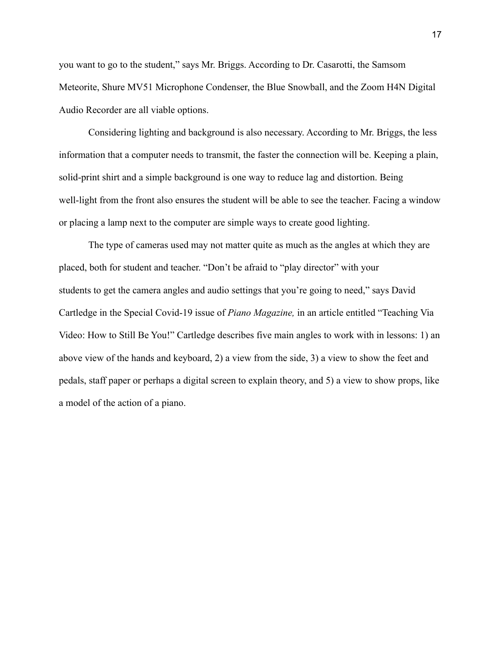you want to go to the student," says Mr. Briggs. According to Dr. Casarotti, the Samsom Meteorite, Shure MV51 Microphone Condenser, the Blue Snowball, and the Zoom H4N Digital Audio Recorder are all viable options.

Considering lighting and background is also necessary. According to Mr. Briggs, the less information that a computer needs to transmit, the faster the connection will be. Keeping a plain, solid-print shirt and a simple background is one way to reduce lag and distortion. Being well-light from the front also ensures the student will be able to see the teacher. Facing a window or placing a lamp next to the computer are simple ways to create good lighting.

The type of cameras used may not matter quite as much as the angles at which they are placed, both for student and teacher. "Don't be afraid to "play director" with your students to get the camera angles and audio settings that you're going to need," says David Cartledge in the Special Covid-19 issue of *Piano Magazine,* in an article entitled "Teaching Via Video: How to Still Be You!" Cartledge describes five main angles to work with in lessons: 1) an above view of the hands and keyboard, 2) a view from the side, 3) a view to show the feet and pedals, staff paper or perhaps a digital screen to explain theory, and 5) a view to show props, like a model of the action of a piano.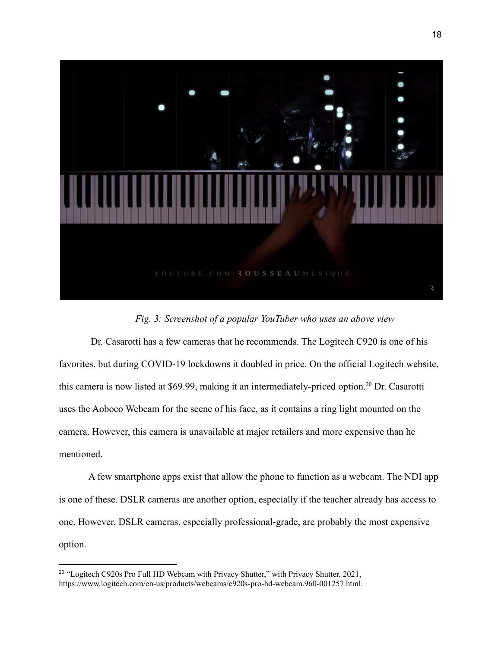

# *Fig. 3: Screenshot of a popular YouTuber who uses an above view*

Dr. Casarotti has a few cameras that he recommends. The Logitech C920 is one of his favorites, but during COVID-19 lockdowns it doubled in price. On the official Logitech website, this camera is now listed at \$69.99, making it an intermediately-priced option.<sup>20</sup> Dr. Casarotti uses the Aoboco Webcam for the scene of his face, as it contains a ring light mounted on the camera. However, this camera is unavailable at major retailers and more expensive than he mentioned.

A few smartphone apps exist that allow the phone to function as a webcam. The NDI app is one of these. DSLR cameras are another option, especially if the teacher already has access to one. However, DSLR cameras, especially professional-grade, are probably the most expensive option.

<sup>&</sup>lt;sup>20</sup> "Logitech C920s Pro Full HD Webcam with Privacy Shutter," with Privacy Shutter, 2021, https://www.logitech.com/en-us/products/webcams/c920s-pro-hd-webcam.960-001257.html.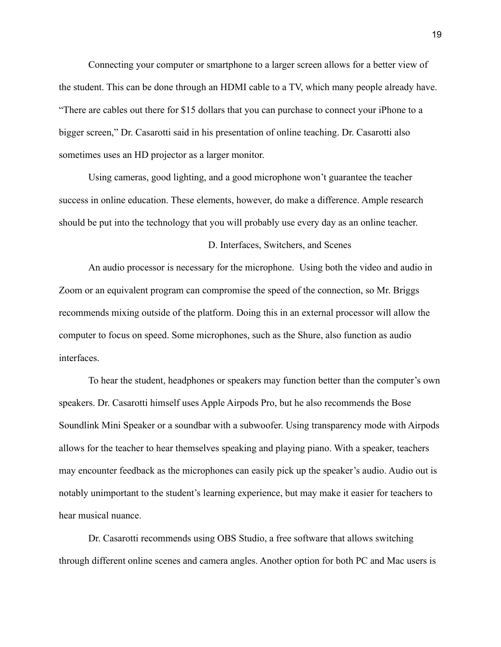Connecting your computer or smartphone to a larger screen allows for a better view of the student. This can be done through an HDMI cable to a TV, which many people already have. "There are cables out there for \$15 dollars that you can purchase to connect your iPhone to a bigger screen," Dr. Casarotti said in his presentation of online teaching. Dr. Casarotti also sometimes uses an HD projector as a larger monitor.

Using cameras, good lighting, and a good microphone won't guarantee the teacher success in online education. These elements, however, do make a difference. Ample research should be put into the technology that you will probably use every day as an online teacher.

# D. Interfaces, Switchers, and Scenes

An audio processor is necessary for the microphone. Using both the video and audio in Zoom or an equivalent program can compromise the speed of the connection, so Mr. Briggs recommends mixing outside of the platform. Doing this in an external processor will allow the computer to focus on speed. Some microphones, such as the Shure, also function as audio interfaces.

To hear the student, headphones or speakers may function better than the computer's own speakers. Dr. Casarotti himself uses Apple Airpods Pro, but he also recommends the Bose Soundlink Mini Speaker or a soundbar with a subwoofer. Using transparency mode with Airpods allows for the teacher to hear themselves speaking and playing piano. With a speaker, teachers may encounter feedback as the microphones can easily pick up the speaker's audio. Audio out is notably unimportant to the student's learning experience, but may make it easier for teachers to hear musical nuance.

Dr. Casarotti recommends using OBS Studio, a free software that allows switching through different online scenes and camera angles. Another option for both PC and Mac users is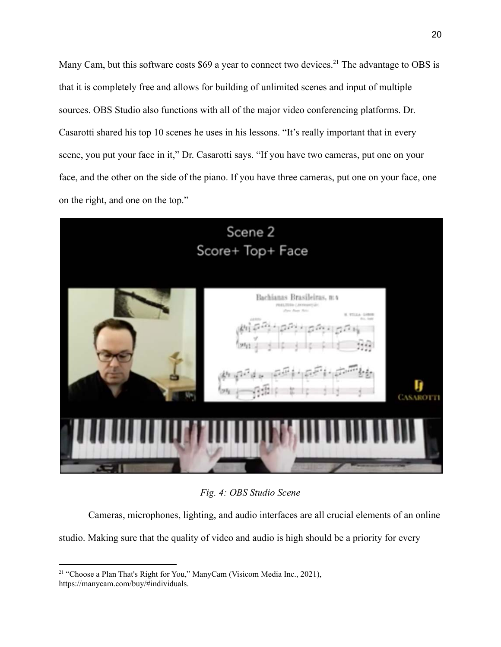Many Cam, but this software costs \$69 a year to connect two devices.<sup>21</sup> The advantage to OBS is that it is completely free and allows for building of unlimited scenes and input of multiple sources. OBS Studio also functions with all of the major video conferencing platforms. Dr. Casarotti shared his top 10 scenes he uses in his lessons. "It's really important that in every scene, you put your face in it," Dr. Casarotti says. "If you have two cameras, put one on your face, and the other on the side of the piano. If you have three cameras, put one on your face, one on the right, and one on the top."



*Fig. 4: OBS Studio Scene*

Cameras, microphones, lighting, and audio interfaces are all crucial elements of an online

studio. Making sure that the quality of video and audio is high should be a priority for every

<sup>&</sup>lt;sup>21</sup> "Choose a Plan That's Right for You," ManyCam (Visicom Media Inc., 2021), https://manycam.com/buy/#individuals.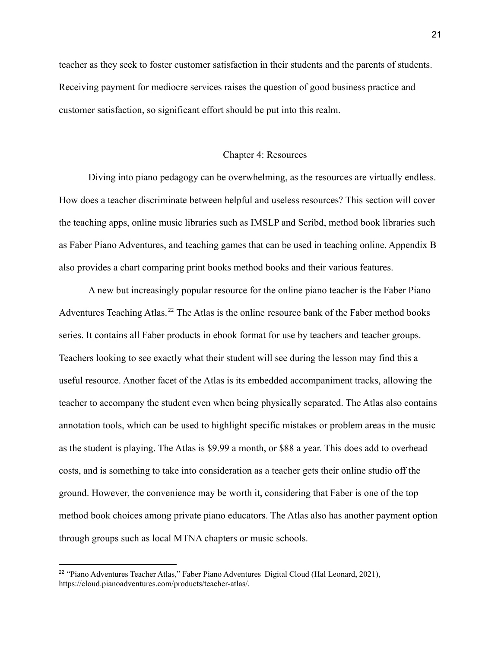teacher as they seek to foster customer satisfaction in their students and the parents of students. Receiving payment for mediocre services raises the question of good business practice and customer satisfaction, so significant effort should be put into this realm.

#### Chapter 4: Resources

Diving into piano pedagogy can be overwhelming, as the resources are virtually endless. How does a teacher discriminate between helpful and useless resources? This section will cover the teaching apps, online music libraries such as IMSLP and Scribd, method book libraries such as Faber Piano Adventures, and teaching games that can be used in teaching online. Appendix B also provides a chart comparing print books method books and their various features.

A new but increasingly popular resource for the online piano teacher is the Faber Piano Adventures Teaching Atlas.<sup>22</sup> The Atlas is the online resource bank of the Faber method books series. It contains all Faber products in ebook format for use by teachers and teacher groups. Teachers looking to see exactly what their student will see during the lesson may find this a useful resource. Another facet of the Atlas is its embedded accompaniment tracks, allowing the teacher to accompany the student even when being physically separated. The Atlas also contains annotation tools, which can be used to highlight specific mistakes or problem areas in the music as the student is playing. The Atlas is \$9.99 a month, or \$88 a year. This does add to overhead costs, and is something to take into consideration as a teacher gets their online studio off the ground. However, the convenience may be worth it, considering that Faber is one of the top method book choices among private piano educators. The Atlas also has another payment option through groups such as local MTNA chapters or music schools.

<sup>&</sup>lt;sup>22</sup> "Piano Adventures Teacher Atlas," Faber Piano Adventures Digital Cloud (Hal Leonard, 2021), https://cloud.pianoadventures.com/products/teacher-atlas/.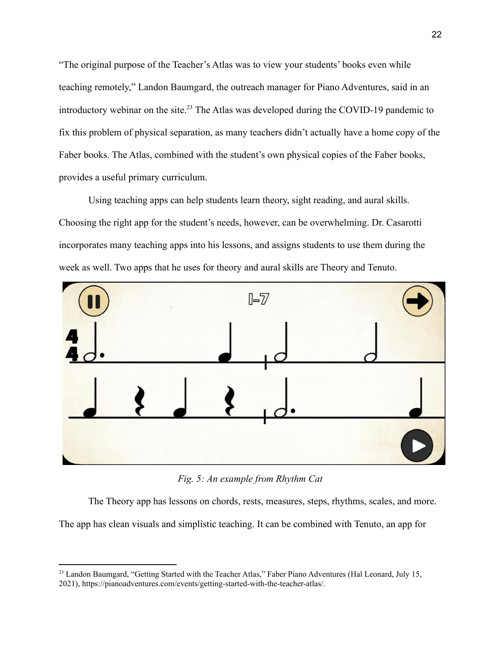"The original purpose of the Teacher's Atlas was to view your students' books even while teaching remotely," Landon Baumgard, the outreach manager for Piano Adventures, said in an introductory webinar on the site.<sup>23</sup> The Atlas was developed during the COVID-19 pandemic to fix this problem of physical separation, as many teachers didn't actually have a home copy of the Faber books. The Atlas, combined with the student's own physical copies of the Faber books, provides a useful primary curriculum.

Using teaching apps can help students learn theory, sight reading, and aural skills. Choosing the right app for the student's needs, however, can be overwhelming. Dr. Casarotti incorporates many teaching apps into his lessons, and assigns students to use them during the week as well. Two apps that he uses for theory and aural skills are Theory and Tenuto.



*Fig. 5: An example from Rhythm Cat*

The Theory app has lessons on chords, rests, measures, steps, rhythms, scales, and more.

The app has clean visuals and simplistic teaching. It can be combined with Tenuto, an app for

<sup>&</sup>lt;sup>23</sup> Landon Baumgard, "Getting Started with the Teacher Atlas," Faber Piano Adventures (Hal Leonard, July 15, 2021), https://pianoadventures.com/events/getting-started-with-the-teacher-atlas/.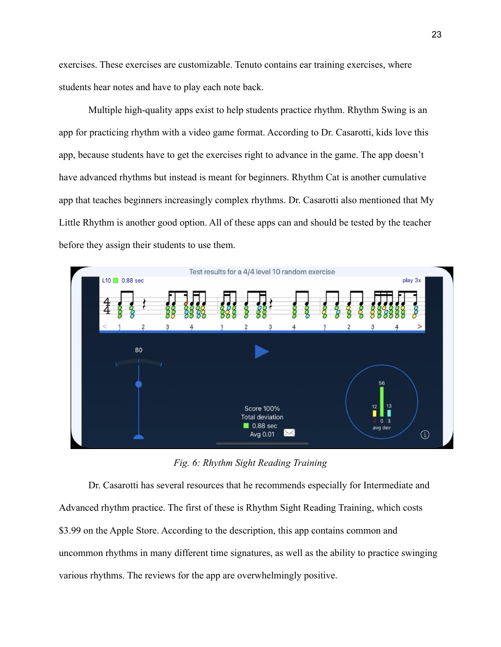exercises. These exercises are customizable. Tenuto contains ear training exercises, where students hear notes and have to play each note back.

Multiple high-quality apps exist to help students practice rhythm. Rhythm Swing is an app for practicing rhythm with a video game format. According to Dr. Casarotti, kids love this app, because students have to get the exercises right to advance in the game. The app doesn't have advanced rhythms but instead is meant for beginners. Rhythm Cat is another cumulative app that teaches beginners increasingly complex rhythms. Dr. Casarotti also mentioned that My Little Rhythm is another good option. All of these apps can and should be tested by the teacher before they assign their students to use them.



*Fig. 6: Rhythm Sight Reading Training*

Dr. Casarotti has several resources that he recommends especially for Intermediate and Advanced rhythm practice. The first of these is Rhythm Sight Reading Training, which costs \$3.99 on the Apple Store. According to the description, this app contains common and uncommon rhythms in many different time signatures, as well as the ability to practice swinging various rhythms. The reviews for the app are overwhelmingly positive.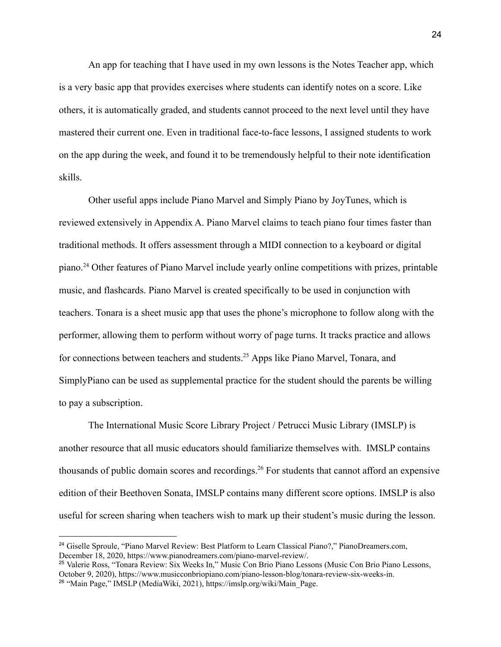An app for teaching that I have used in my own lessons is the Notes Teacher app, which is a very basic app that provides exercises where students can identify notes on a score. Like others, it is automatically graded, and students cannot proceed to the next level until they have mastered their current one. Even in traditional face-to-face lessons, I assigned students to work on the app during the week, and found it to be tremendously helpful to their note identification skills.

Other useful apps include Piano Marvel and Simply Piano by JoyTunes, which is reviewed extensively in Appendix A. Piano Marvel claims to teach piano four times faster than traditional methods. It offers assessment through a MIDI connection to a keyboard or digital piano.<sup>24</sup> Other features of Piano Marvel include yearly online competitions with prizes, printable music, and flashcards. Piano Marvel is created specifically to be used in conjunction with teachers. Tonara is a sheet music app that uses the phone's microphone to follow along with the performer, allowing them to perform without worry of page turns. It tracks practice and allows for connections between teachers and students.<sup>25</sup> Apps like Piano Marvel, Tonara, and SimplyPiano can be used as supplemental practice for the student should the parents be willing to pay a subscription.

The International Music Score Library Project / Petrucci Music Library (IMSLP) is another resource that all music educators should familiarize themselves with. IMSLP contains thousands of public domain scores and recordings.<sup>26</sup> For students that cannot afford an expensive edition of their Beethoven Sonata, IMSLP contains many different score options. IMSLP is also useful for screen sharing when teachers wish to mark up their student's music during the lesson.

<sup>&</sup>lt;sup>24</sup> Giselle Sproule, "Piano Marvel Review: Best Platform to Learn Classical Piano?," PianoDreamers.com, December 18, 2020, https://www.pianodreamers.com/piano-marvel-review/.

<sup>26</sup> "Main Page," IMSLP (MediaWiki, 2021), https://imslp.org/wiki/Main\_Page. <sup>25</sup> Valerie Ross, "Tonara Review: Six Weeks In," Music Con Brio Piano Lessons (Music Con Brio Piano Lessons, October 9, 2020), https://www.musicconbriopiano.com/piano-lesson-blog/tonara-review-six-weeks-in.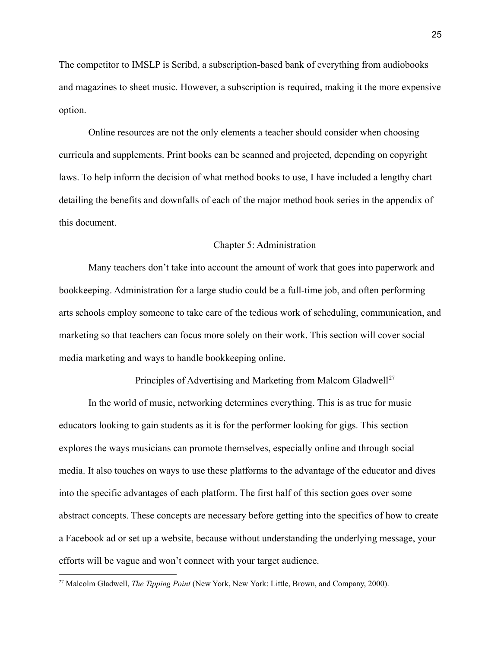The competitor to IMSLP is Scribd, a subscription-based bank of everything from audiobooks and magazines to sheet music. However, a subscription is required, making it the more expensive option.

Online resources are not the only elements a teacher should consider when choosing curricula and supplements. Print books can be scanned and projected, depending on copyright laws. To help inform the decision of what method books to use, I have included a lengthy chart detailing the benefits and downfalls of each of the major method book series in the appendix of this document.

#### Chapter 5: Administration

Many teachers don't take into account the amount of work that goes into paperwork and bookkeeping. Administration for a large studio could be a full-time job, and often performing arts schools employ someone to take care of the tedious work of scheduling, communication, and marketing so that teachers can focus more solely on their work. This section will cover social media marketing and ways to handle bookkeeping online.

Principles of Advertising and Marketing from Malcom Gladwell<sup>27</sup>

In the world of music, networking determines everything. This is as true for music educators looking to gain students as it is for the performer looking for gigs. This section explores the ways musicians can promote themselves, especially online and through social media. It also touches on ways to use these platforms to the advantage of the educator and dives into the specific advantages of each platform. The first half of this section goes over some abstract concepts. These concepts are necessary before getting into the specifics of how to create a Facebook ad or set up a website, because without understanding the underlying message, your efforts will be vague and won't connect with your target audience.

<sup>27</sup> Malcolm Gladwell, *The Tipping Point* (New York, New York: Little, Brown, and Company, 2000).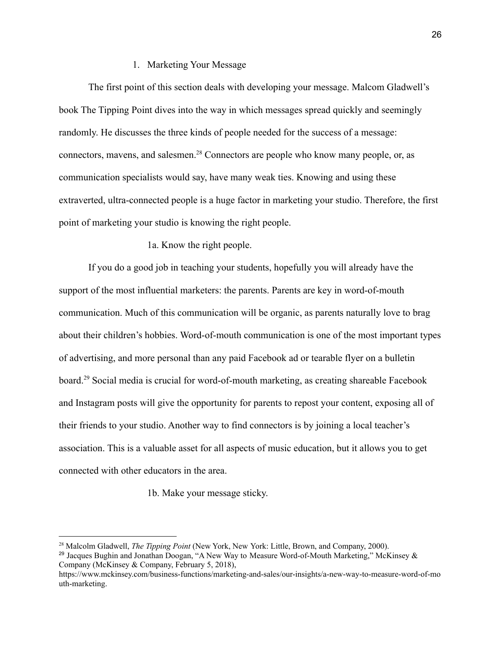# 1. Marketing Your Message

The first point of this section deals with developing your message. Malcom Gladwell's book The Tipping Point dives into the way in which messages spread quickly and seemingly randomly. He discusses the three kinds of people needed for the success of a message: connectors, mavens, and salesmen.<sup>28</sup> Connectors are people who know many people, or, as communication specialists would say, have many weak ties. Knowing and using these extraverted, ultra-connected people is a huge factor in marketing your studio. Therefore, the first point of marketing your studio is knowing the right people.

# 1a. Know the right people.

If you do a good job in teaching your students, hopefully you will already have the support of the most influential marketers: the parents. Parents are key in word-of-mouth communication. Much of this communication will be organic, as parents naturally love to brag about their children's hobbies. Word-of-mouth communication is one of the most important types of advertising, and more personal than any paid Facebook ad or tearable flyer on a bulletin board.<sup>29</sup> Social media is crucial for word-of-mouth marketing, as creating shareable Facebook and Instagram posts will give the opportunity for parents to repost your content, exposing all of their friends to your studio. Another way to find connectors is by joining a local teacher's association. This is a valuable asset for all aspects of music education, but it allows you to get connected with other educators in the area.

1b. Make your message sticky.

<sup>28</sup> Malcolm Gladwell, *The Tipping Point* (New York, New York: Little, Brown, and Company, 2000).

<sup>&</sup>lt;sup>29</sup> Jacques Bughin and Jonathan Doogan, "A New Way to Measure Word-of-Mouth Marketing," McKinsey & Company (McKinsey & Company, February 5, 2018),

https://www.mckinsey.com/business-functions/marketing-and-sales/our-insights/a-new-way-to-measure-word-of-mo uth-marketing.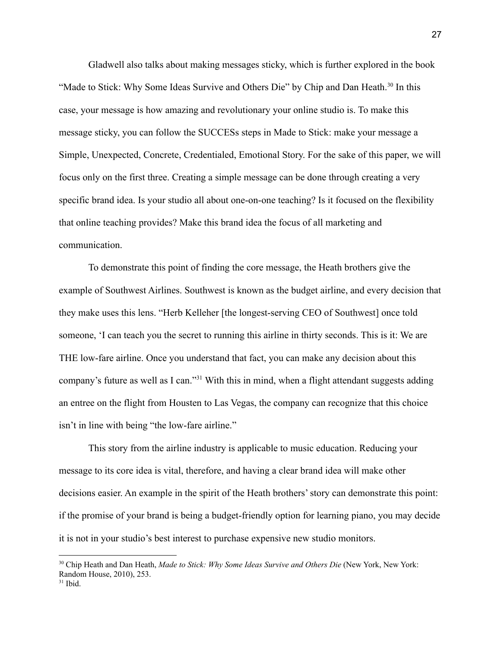Gladwell also talks about making messages sticky, which is further explored in the book "Made to Stick: Why Some Ideas Survive and Others Die" by Chip and Dan Heath.<sup>30</sup> In this case, your message is how amazing and revolutionary your online studio is. To make this message sticky, you can follow the SUCCESs steps in Made to Stick: make your message a Simple, Unexpected, Concrete, Credentialed, Emotional Story. For the sake of this paper, we will focus only on the first three. Creating a simple message can be done through creating a very specific brand idea. Is your studio all about one-on-one teaching? Is it focused on the flexibility that online teaching provides? Make this brand idea the focus of all marketing and communication.

To demonstrate this point of finding the core message, the Heath brothers give the example of Southwest Airlines. Southwest is known as the budget airline, and every decision that they make uses this lens. "Herb Kelleher [the longest-serving CEO of Southwest] once told someone, 'I can teach you the secret to running this airline in thirty seconds. This is it: We are THE low-fare airline. Once you understand that fact, you can make any decision about this company's future as well as I can."<sup>31</sup> With this in mind, when a flight attendant suggests adding an entree on the flight from Housten to Las Vegas, the company can recognize that this choice isn't in line with being "the low-fare airline."

This story from the airline industry is applicable to music education. Reducing your message to its core idea is vital, therefore, and having a clear brand idea will make other decisions easier. An example in the spirit of the Heath brothers' story can demonstrate this point: if the promise of your brand is being a budget-friendly option for learning piano, you may decide it is not in your studio's best interest to purchase expensive new studio monitors.

<sup>30</sup> Chip Heath and Dan Heath, *Made to Stick: Why Some Ideas Survive and Others Die* (New York, New York: Random House, 2010), 253.

 $31$  Ibid.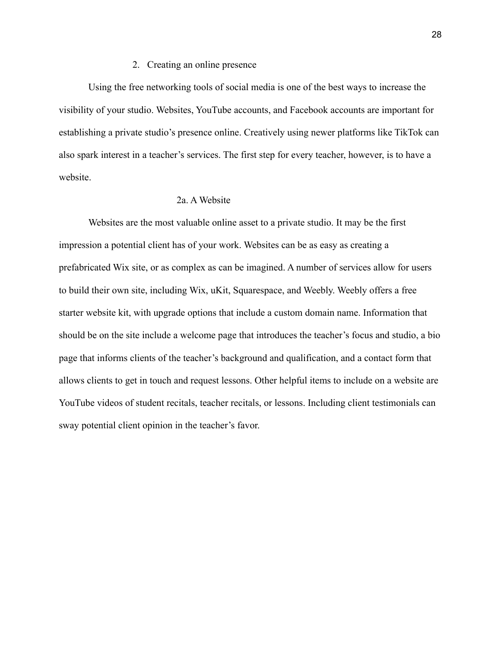### 2. Creating an online presence

Using the free networking tools of social media is one of the best ways to increase the visibility of your studio. Websites, YouTube accounts, and Facebook accounts are important for establishing a private studio's presence online. Creatively using newer platforms like TikTok can also spark interest in a teacher's services. The first step for every teacher, however, is to have a website.

# 2a. A Website

Websites are the most valuable online asset to a private studio. It may be the first impression a potential client has of your work. Websites can be as easy as creating a prefabricated Wix site, or as complex as can be imagined. A number of services allow for users to build their own site, including Wix, uKit, Squarespace, and Weebly. Weebly offers a free starter website kit, with upgrade options that include a custom domain name. Information that should be on the site include a welcome page that introduces the teacher's focus and studio, a bio page that informs clients of the teacher's background and qualification, and a contact form that allows clients to get in touch and request lessons. Other helpful items to include on a website are YouTube videos of student recitals, teacher recitals, or lessons. Including client testimonials can sway potential client opinion in the teacher's favor.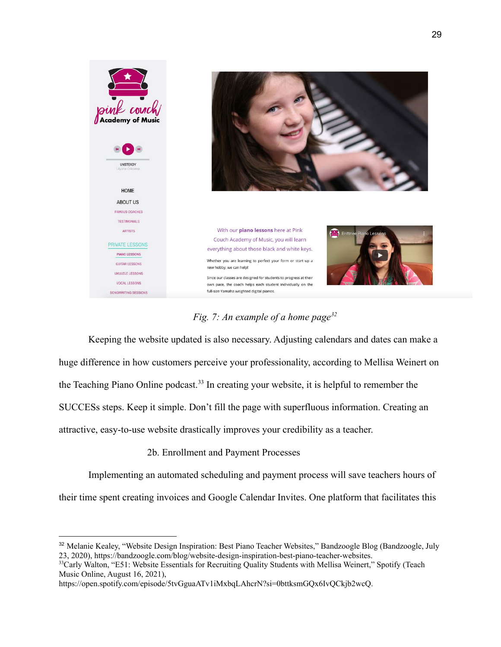

*Fig. 7: An example of a home page<sup>32</sup>*

Keeping the website updated is also necessary. Adjusting calendars and dates can make a huge difference in how customers perceive your professionality, according to Mellisa Weinert on the Teaching Piano Online podcast.<sup>33</sup> In creating your website, it is helpful to remember the SUCCESs steps. Keep it simple. Don't fill the page with superfluous information. Creating an attractive, easy-to-use website drastically improves your credibility as a teacher.

2b. Enrollment and Payment Processes

Implementing an automated scheduling and payment process will save teachers hours of

their time spent creating invoices and Google Calendar Invites. One platform that facilitates this

<sup>&</sup>lt;sup>32</sup> Melanie Kealey, "Website Design Inspiration: Best Piano Teacher Websites," Bandzoogle Blog (Bandzoogle, July 23, 2020), https://bandzoogle.com/blog/website-design-inspiration-best-piano-teacher-websites.

<sup>&</sup>lt;sup>33</sup>Carly Walton, "E51: Website Essentials for Recruiting Quality Students with Mellisa Weinert," Spotify (Teach Music Online, August 16, 2021),

https://open.spotify.com/episode/5tvGguaATv1iMxbqLAhcrN?si=0bttksmGQx6IvQCkjb2wcQ.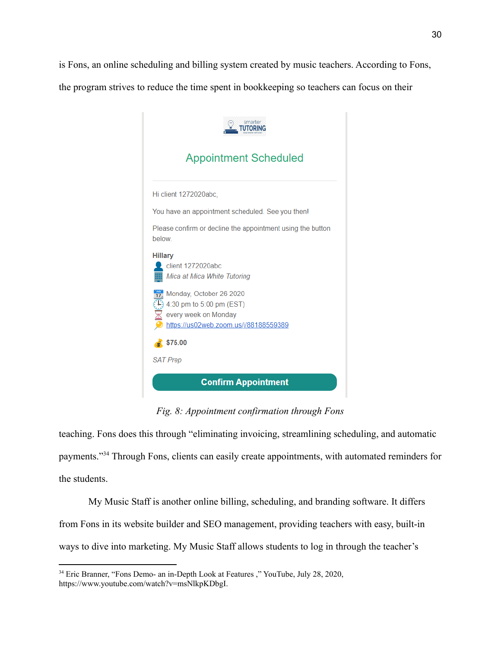is Fons, an online scheduling and billing system created by music teachers. According to Fons,

the program strives to reduce the time spent in bookkeeping so teachers can focus on their



*Fig. 8: Appointment confirmation through Fons*

teaching. Fons does this through "eliminating invoicing, streamlining scheduling, and automatic payments."<sup>34</sup> Through Fons, clients can easily create appointments, with automated reminders for the students.

My Music Staff is another online billing, scheduling, and branding software. It differs from Fons in its website builder and SEO management, providing teachers with easy, built-in ways to dive into marketing. My Music Staff allows students to log in through the teacher's

<sup>34</sup> Eric Branner, "Fons Demo- an in-Depth Look at Features ," YouTube, July 28, 2020, https://www.youtube.com/watch?v=msNlkpKDbgI.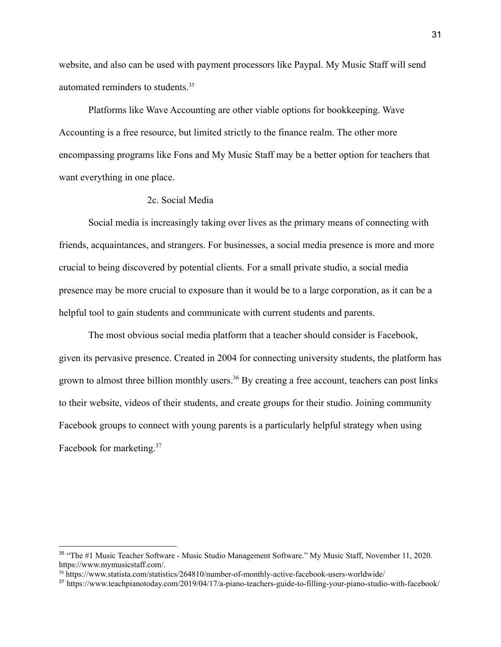website, and also can be used with payment processors like Paypal. My Music Staff will send automated reminders to students.<sup>35</sup>

Platforms like Wave Accounting are other viable options for bookkeeping. Wave Accounting is a free resource, but limited strictly to the finance realm. The other more encompassing programs like Fons and My Music Staff may be a better option for teachers that want everything in one place.

#### 2c. Social Media

Social media is increasingly taking over lives as the primary means of connecting with friends, acquaintances, and strangers. For businesses, a social media presence is more and more crucial to being discovered by potential clients. For a small private studio, a social media presence may be more crucial to exposure than it would be to a large corporation, as it can be a helpful tool to gain students and communicate with current students and parents.

The most obvious social media platform that a teacher should consider is Facebook, given its pervasive presence. Created in 2004 for connecting university students, the platform has grown to almost three billion monthly users.<sup>36</sup> By creating a free account, teachers can post links to their website, videos of their students, and create groups for their studio. Joining community Facebook groups to connect with young parents is a particularly helpful strategy when using Facebook for marketing.<sup>37</sup>

<sup>35</sup> "The #1 Music Teacher Software - Music Studio Management Software." My Music Staff, November 11, 2020. https://www.mymusicstaff.com/.

<sup>36</sup> https://www.statista.com/statistics/264810/number-of-monthly-active-facebook-users-worldwide/

<sup>37</sup> https://www.teachpianotoday.com/2019/04/17/a-piano-teachers-guide-to-filling-your-piano-studio-with-facebook/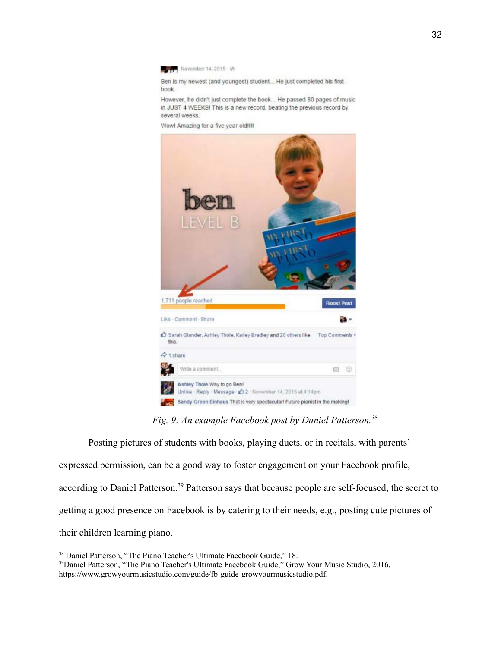

Ben is my newest (and youngest) student... He just completed his first book.

However, he didn't just complete the book... He passed 80 pages of music in JUST 4 WEEKS! This is a new record, beating the previous record by several weeks

Wow! Amazing for a five year old!!!!



*Fig. 9: An example Facebook post by Daniel Patterson.<sup>38</sup>*

Posting pictures of students with books, playing duets, or in recitals, with parents' expressed permission, can be a good way to foster engagement on your Facebook profile, according to Daniel Patterson.<sup>39</sup> Patterson says that because people are self-focused, the secret to getting a good presence on Facebook is by catering to their needs, e.g., posting cute pictures of their children learning piano.

<sup>&</sup>lt;sup>38</sup> Daniel Patterson, "The Piano Teacher's Ultimate Facebook Guide," 18.

<sup>&</sup>lt;sup>39</sup>Daniel Patterson, "The Piano Teacher's Ultimate Facebook Guide," Grow Your Music Studio, 2016, https://www.growyourmusicstudio.com/guide/fb-guide-growyourmusicstudio.pdf.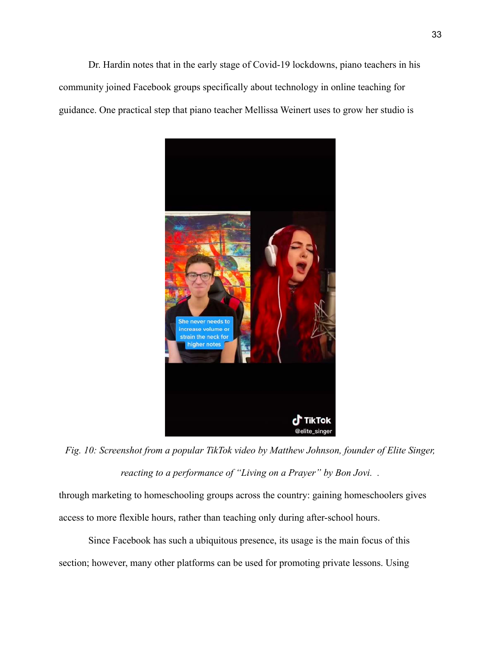Dr. Hardin notes that in the early stage of Covid-19 lockdowns, piano teachers in his community joined Facebook groups specifically about technology in online teaching for guidance. One practical step that piano teacher Mellissa Weinert uses to grow her studio is



*Fig. 10: Screenshot from a popular TikTok video by Matthew Johnson, founder of Elite Singer, reacting to a performance of "Living on a Prayer" by Bon Jovi. .*

through marketing to homeschooling groups across the country: gaining homeschoolers gives access to more flexible hours, rather than teaching only during after-school hours.

Since Facebook has such a ubiquitous presence, its usage is the main focus of this section; however, many other platforms can be used for promoting private lessons. Using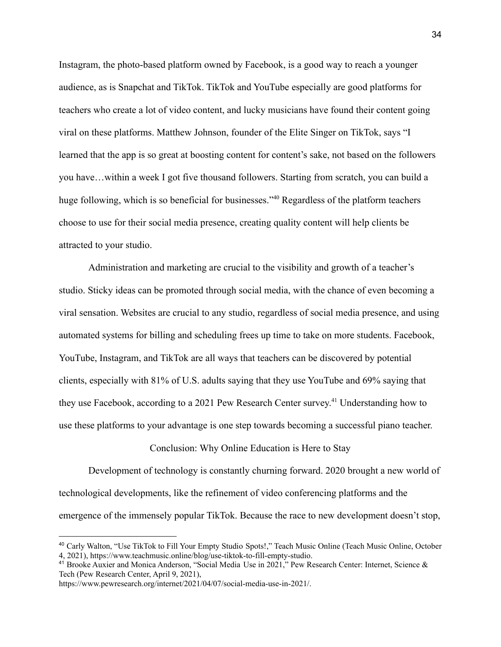Instagram, the photo-based platform owned by Facebook, is a good way to reach a younger audience, as is Snapchat and TikTok. TikTok and YouTube especially are good platforms for teachers who create a lot of video content, and lucky musicians have found their content going viral on these platforms. Matthew Johnson, founder of the Elite Singer on TikTok, says "I learned that the app is so great at boosting content for content's sake, not based on the followers you have…within a week I got five thousand followers. Starting from scratch, you can build a huge following, which is so beneficial for businesses."<sup>40</sup> Regardless of the platform teachers choose to use for their social media presence, creating quality content will help clients be attracted to your studio.

Administration and marketing are crucial to the visibility and growth of a teacher's studio. Sticky ideas can be promoted through social media, with the chance of even becoming a viral sensation. Websites are crucial to any studio, regardless of social media presence, and using automated systems for billing and scheduling frees up time to take on more students. Facebook, YouTube, Instagram, and TikTok are all ways that teachers can be discovered by potential clients, especially with 81% of U.S. adults saying that they use YouTube and 69% saying that they use Facebook, according to a 2021 Pew Research Center survey. <sup>41</sup> Understanding how to use these platforms to your advantage is one step towards becoming a successful piano teacher.

### Conclusion: Why Online Education is Here to Stay

Development of technology is constantly churning forward. 2020 brought a new world of technological developments, like the refinement of video conferencing platforms and the emergence of the immensely popular TikTok. Because the race to new development doesn't stop,

<sup>40</sup> Carly Walton, "Use TikTok to Fill Your Empty Studio Spots!," Teach Music Online (Teach Music Online, October 4, 2021), https://www.teachmusic.online/blog/use-tiktok-to-fill-empty-studio.

<sup>&</sup>lt;sup>41</sup> Brooke Auxier and Monica Anderson, "Social Media Use in 2021," Pew Research Center: Internet, Science & Tech (Pew Research Center, April 9, 2021),

https://www.pewresearch.org/internet/2021/04/07/social-media-use-in-2021/.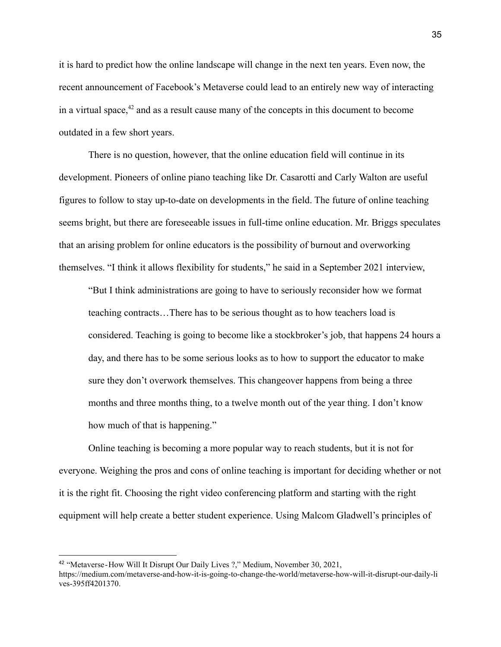it is hard to predict how the online landscape will change in the next ten years. Even now, the recent announcement of Facebook's Metaverse could lead to an entirely new way of interacting in a virtual space, $42$  and as a result cause many of the concepts in this document to become outdated in a few short years.

There is no question, however, that the online education field will continue in its development. Pioneers of online piano teaching like Dr. Casarotti and Carly Walton are useful figures to follow to stay up-to-date on developments in the field. The future of online teaching seems bright, but there are foreseeable issues in full-time online education. Mr. Briggs speculates that an arising problem for online educators is the possibility of burnout and overworking themselves. "I think it allows flexibility for students," he said in a September 2021 interview,

"But I think administrations are going to have to seriously reconsider how we format teaching contracts…There has to be serious thought as to how teachers load is considered. Teaching is going to become like a stockbroker's job, that happens 24 hours a day, and there has to be some serious looks as to how to support the educator to make sure they don't overwork themselves. This changeover happens from being a three months and three months thing, to a twelve month out of the year thing. I don't know how much of that is happening."

Online teaching is becoming a more popular way to reach students, but it is not for everyone. Weighing the pros and cons of online teaching is important for deciding whether or not it is the right fit. Choosing the right video conferencing platform and starting with the right equipment will help create a better student experience. Using Malcom Gladwell's principles of

<sup>&</sup>lt;sup>42</sup> "Metaverse-How Will It Disrupt Our Daily Lives ?," Medium, November 30, 2021, https://medium.com/metaverse-and-how-it-is-going-to-change-the-world/metaverse-how-will-it-disrupt-our-daily-li ves-395ff4201370.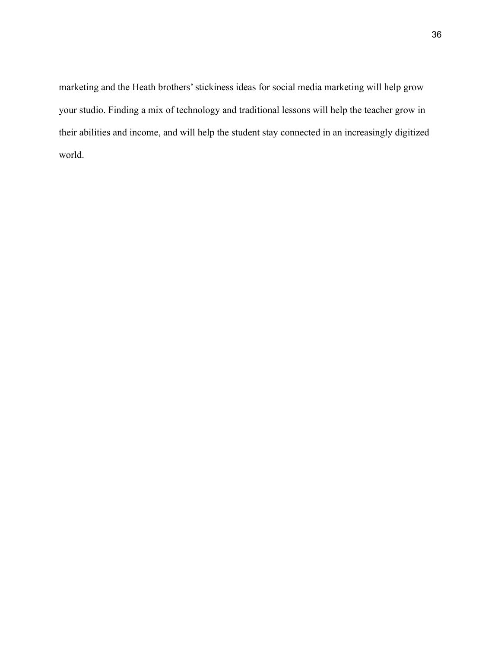marketing and the Heath brothers' stickiness ideas for social media marketing will help grow your studio. Finding a mix of technology and traditional lessons will help the teacher grow in their abilities and income, and will help the student stay connected in an increasingly digitized world.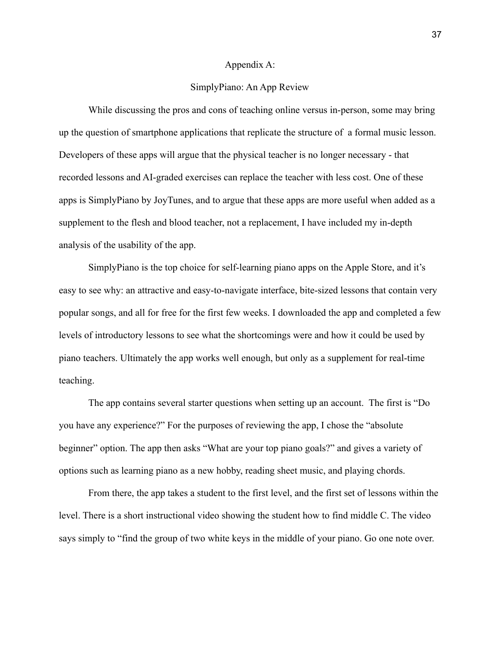#### Appendix A:

# SimplyPiano: An App Review

While discussing the pros and cons of teaching online versus in-person, some may bring up the question of smartphone applications that replicate the structure of a formal music lesson. Developers of these apps will argue that the physical teacher is no longer necessary - that recorded lessons and AI-graded exercises can replace the teacher with less cost. One of these apps is SimplyPiano by JoyTunes, and to argue that these apps are more useful when added as a supplement to the flesh and blood teacher, not a replacement, I have included my in-depth analysis of the usability of the app.

SimplyPiano is the top choice for self-learning piano apps on the Apple Store, and it's easy to see why: an attractive and easy-to-navigate interface, bite-sized lessons that contain very popular songs, and all for free for the first few weeks. I downloaded the app and completed a few levels of introductory lessons to see what the shortcomings were and how it could be used by piano teachers. Ultimately the app works well enough, but only as a supplement for real-time teaching.

The app contains several starter questions when setting up an account. The first is "Do you have any experience?" For the purposes of reviewing the app, I chose the "absolute beginner" option. The app then asks "What are your top piano goals?" and gives a variety of options such as learning piano as a new hobby, reading sheet music, and playing chords.

From there, the app takes a student to the first level, and the first set of lessons within the level. There is a short instructional video showing the student how to find middle C. The video says simply to "find the group of two white keys in the middle of your piano. Go one note over.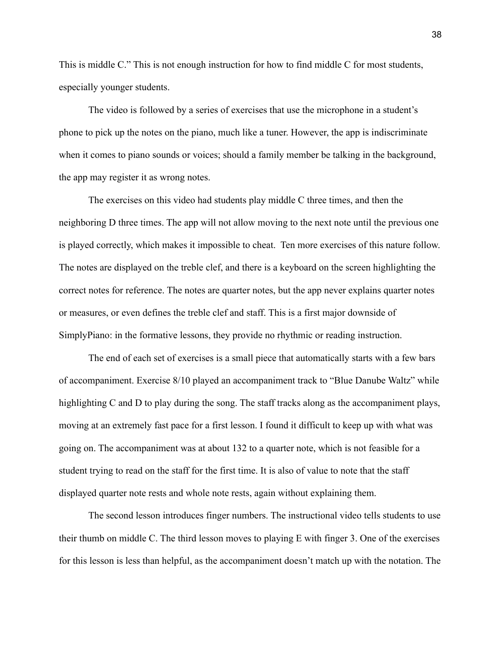This is middle C." This is not enough instruction for how to find middle C for most students, especially younger students.

The video is followed by a series of exercises that use the microphone in a student's phone to pick up the notes on the piano, much like a tuner. However, the app is indiscriminate when it comes to piano sounds or voices; should a family member be talking in the background, the app may register it as wrong notes.

The exercises on this video had students play middle C three times, and then the neighboring D three times. The app will not allow moving to the next note until the previous one is played correctly, which makes it impossible to cheat. Ten more exercises of this nature follow. The notes are displayed on the treble clef, and there is a keyboard on the screen highlighting the correct notes for reference. The notes are quarter notes, but the app never explains quarter notes or measures, or even defines the treble clef and staff. This is a first major downside of SimplyPiano: in the formative lessons, they provide no rhythmic or reading instruction.

The end of each set of exercises is a small piece that automatically starts with a few bars of accompaniment. Exercise 8/10 played an accompaniment track to "Blue Danube Waltz" while highlighting C and D to play during the song. The staff tracks along as the accompaniment plays, moving at an extremely fast pace for a first lesson. I found it difficult to keep up with what was going on. The accompaniment was at about 132 to a quarter note, which is not feasible for a student trying to read on the staff for the first time. It is also of value to note that the staff displayed quarter note rests and whole note rests, again without explaining them.

The second lesson introduces finger numbers. The instructional video tells students to use their thumb on middle C. The third lesson moves to playing E with finger 3. One of the exercises for this lesson is less than helpful, as the accompaniment doesn't match up with the notation. The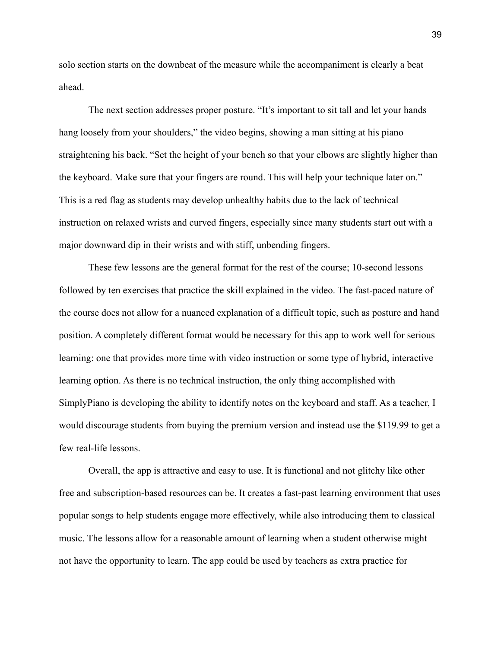solo section starts on the downbeat of the measure while the accompaniment is clearly a beat ahead.

The next section addresses proper posture. "It's important to sit tall and let your hands hang loosely from your shoulders," the video begins, showing a man sitting at his piano straightening his back. "Set the height of your bench so that your elbows are slightly higher than the keyboard. Make sure that your fingers are round. This will help your technique later on." This is a red flag as students may develop unhealthy habits due to the lack of technical instruction on relaxed wrists and curved fingers, especially since many students start out with a major downward dip in their wrists and with stiff, unbending fingers.

These few lessons are the general format for the rest of the course; 10-second lessons followed by ten exercises that practice the skill explained in the video. The fast-paced nature of the course does not allow for a nuanced explanation of a difficult topic, such as posture and hand position. A completely different format would be necessary for this app to work well for serious learning: one that provides more time with video instruction or some type of hybrid, interactive learning option. As there is no technical instruction, the only thing accomplished with SimplyPiano is developing the ability to identify notes on the keyboard and staff. As a teacher, I would discourage students from buying the premium version and instead use the \$119.99 to get a few real-life lessons.

Overall, the app is attractive and easy to use. It is functional and not glitchy like other free and subscription-based resources can be. It creates a fast-past learning environment that uses popular songs to help students engage more effectively, while also introducing them to classical music. The lessons allow for a reasonable amount of learning when a student otherwise might not have the opportunity to learn. The app could be used by teachers as extra practice for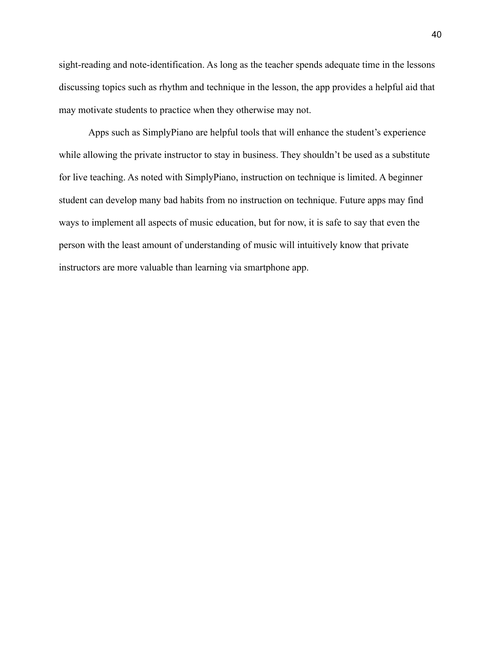sight-reading and note-identification. As long as the teacher spends adequate time in the lessons discussing topics such as rhythm and technique in the lesson, the app provides a helpful aid that may motivate students to practice when they otherwise may not.

Apps such as SimplyPiano are helpful tools that will enhance the student's experience while allowing the private instructor to stay in business. They shouldn't be used as a substitute for live teaching. As noted with SimplyPiano, instruction on technique is limited. A beginner student can develop many bad habits from no instruction on technique. Future apps may find ways to implement all aspects of music education, but for now, it is safe to say that even the person with the least amount of understanding of music will intuitively know that private instructors are more valuable than learning via smartphone app.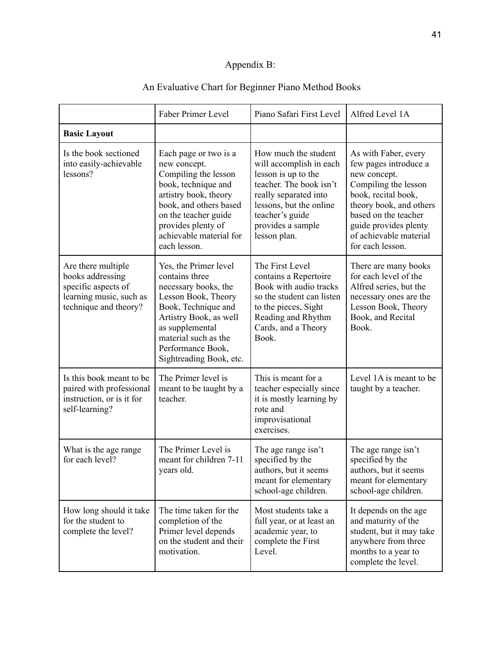# Appendix B:

# An Evaluative Chart for Beginner Piano Method Books

|                                                                                                                   | Faber Primer Level                                                                                                                                                                                                                 | Piano Safari First Level                                                                                                                                                                                      | Alfred Level 1A                                                                                                                                                                                                                        |
|-------------------------------------------------------------------------------------------------------------------|------------------------------------------------------------------------------------------------------------------------------------------------------------------------------------------------------------------------------------|---------------------------------------------------------------------------------------------------------------------------------------------------------------------------------------------------------------|----------------------------------------------------------------------------------------------------------------------------------------------------------------------------------------------------------------------------------------|
| <b>Basic Layout</b>                                                                                               |                                                                                                                                                                                                                                    |                                                                                                                                                                                                               |                                                                                                                                                                                                                                        |
| Is the book sectioned<br>into easily-achievable<br>lessons?                                                       | Each page or two is a<br>new concept.<br>Compiling the lesson<br>book, technique and<br>artistry book, theory<br>book, and others based<br>on the teacher guide<br>provides plenty of<br>achievable material for<br>each lesson.   | How much the student<br>will accomplish in each<br>lesson is up to the<br>teacher. The book isn't<br>really separated into<br>lessons, but the online<br>teacher's guide<br>provides a sample<br>lesson plan. | As with Faber, every<br>few pages introduce a<br>new concept.<br>Compiling the lesson<br>book, recital book,<br>theory book, and others<br>based on the teacher<br>guide provides plenty<br>of achievable material<br>for each lesson. |
| Are there multiple<br>books addressing<br>specific aspects of<br>learning music, such as<br>technique and theory? | Yes, the Primer level<br>contains three<br>necessary books, the<br>Lesson Book, Theory<br>Book, Technique and<br>Artistry Book, as well<br>as supplemental<br>material such as the<br>Performance Book,<br>Sightreading Book, etc. | The First Level<br>contains a Repertoire<br>Book with audio tracks<br>so the student can listen<br>to the pieces, Sight<br>Reading and Rhythm<br>Cards, and a Theory<br>Book.                                 | There are many books<br>for each level of the<br>Alfred series, but the<br>necessary ones are the<br>Lesson Book, Theory<br>Book, and Recital<br>Book.                                                                                 |
| Is this book meant to be<br>paired with professional<br>instruction, or is it for<br>self-learning?               | The Primer level is<br>meant to be taught by a<br>teacher.                                                                                                                                                                         | This is meant for a<br>teacher especially since<br>it is mostly learning by<br>rote and<br>improvisational<br>exercises.                                                                                      | Level 1A is meant to be<br>taught by a teacher.                                                                                                                                                                                        |
| What is the age range<br>for each level?                                                                          | The Primer Level is<br>meant for children 7-11<br>years old.                                                                                                                                                                       | The age range isn't<br>specified by the<br>authors, but it seems<br>meant for elementary<br>school-age children.                                                                                              | The age range isn't<br>specified by the<br>authors, but it seems<br>meant for elementary<br>school-age children.                                                                                                                       |
| How long should it take<br>for the student to<br>complete the level?                                              | The time taken for the<br>completion of the<br>Primer level depends<br>on the student and their<br>motivation.                                                                                                                     | Most students take a<br>full year, or at least an<br>academic year, to<br>complete the First<br>Level.                                                                                                        | It depends on the age<br>and maturity of the<br>student, but it may take<br>anywhere from three<br>months to a year to<br>complete the level.                                                                                          |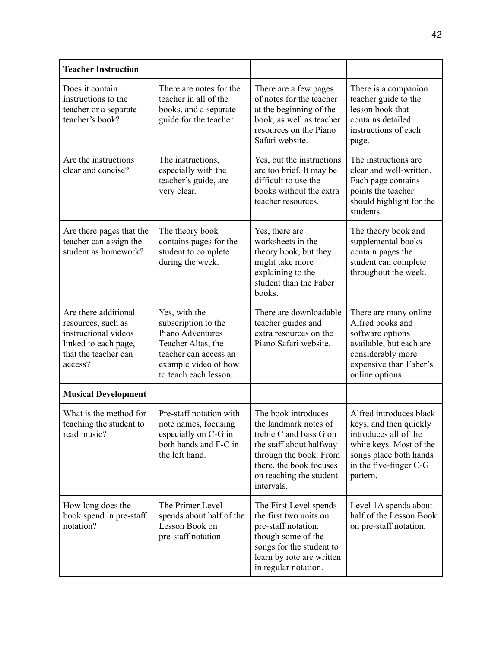| <b>Teacher Instruction</b>                                                                                                    |                                                                                                                                                          |                                                                                                                                                                                                 |                                                                                                                                                                       |
|-------------------------------------------------------------------------------------------------------------------------------|----------------------------------------------------------------------------------------------------------------------------------------------------------|-------------------------------------------------------------------------------------------------------------------------------------------------------------------------------------------------|-----------------------------------------------------------------------------------------------------------------------------------------------------------------------|
| Does it contain<br>instructions to the<br>teacher or a separate<br>teacher's book?                                            | There are notes for the<br>teacher in all of the<br>books, and a separate<br>guide for the teacher.                                                      | There are a few pages<br>of notes for the teacher<br>at the beginning of the<br>book, as well as teacher<br>resources on the Piano<br>Safari website.                                           | There is a companion<br>teacher guide to the<br>lesson book that<br>contains detailed<br>instructions of each<br>page.                                                |
| Are the instructions<br>clear and concise?                                                                                    | The instructions,<br>especially with the<br>teacher's guide, are<br>very clear.                                                                          | Yes, but the instructions<br>are too brief. It may be<br>difficult to use the<br>books without the extra<br>teacher resources.                                                                  | The instructions are<br>clear and well-written.<br>Each page contains<br>points the teacher<br>should highlight for the<br>students.                                  |
| Are there pages that the<br>teacher can assign the<br>student as homework?                                                    | The theory book<br>contains pages for the<br>student to complete<br>during the week.                                                                     | Yes, there are<br>worksheets in the<br>theory book, but they<br>might take more<br>explaining to the<br>student than the Faber<br>books.                                                        | The theory book and<br>supplemental books<br>contain pages the<br>student can complete<br>throughout the week.                                                        |
| Are there additional<br>resources, such as<br>instructional videos<br>linked to each page,<br>that the teacher can<br>access? | Yes, with the<br>subscription to the<br>Piano Adventures<br>Teacher Altas, the<br>teacher can access an<br>example video of how<br>to teach each lesson. | There are downloadable<br>teacher guides and<br>extra resources on the<br>Piano Safari website.                                                                                                 | There are many online<br>Alfred books and<br>software options<br>available, but each are<br>considerably more<br>expensive than Faber's<br>online options.            |
| <b>Musical Development</b>                                                                                                    |                                                                                                                                                          |                                                                                                                                                                                                 |                                                                                                                                                                       |
| What is the method for<br>teaching the student to<br>read music?                                                              | Pre-staff notation with<br>note names, focusing<br>especially on C-G in<br>both hands and F-C in<br>the left hand.                                       | The book introduces<br>the landmark notes of<br>treble C and bass G on<br>the staff about halfway<br>through the book. From<br>there, the book focuses<br>on teaching the student<br>intervals. | Alfred introduces black<br>keys, and then quickly<br>introduces all of the<br>white keys. Most of the<br>songs place both hands<br>in the five-finger C-G<br>pattern. |
| How long does the<br>book spend in pre-staff<br>notation?                                                                     | The Primer Level<br>spends about half of the<br>Lesson Book on<br>pre-staff notation.                                                                    | The First Level spends<br>the first two units on<br>pre-staff notation,<br>though some of the<br>songs for the student to<br>learn by rote are written<br>in regular notation.                  | Level 1A spends about<br>half of the Lesson Book<br>on pre-staff notation.                                                                                            |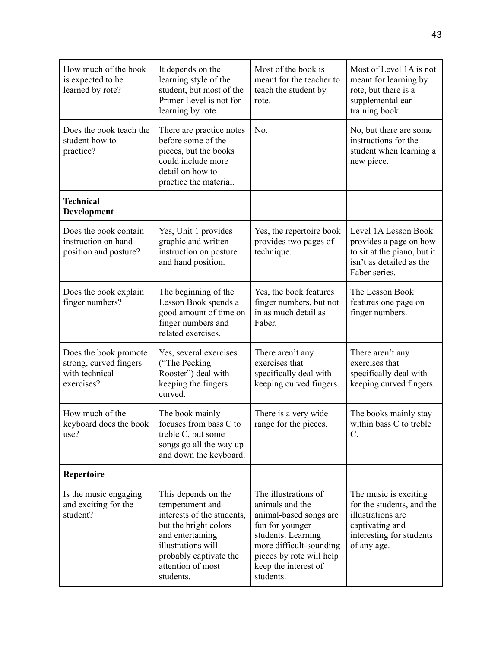| How much of the book<br>is expected to be<br>learned by rote?                   | It depends on the<br>learning style of the<br>student, but most of the<br>Primer Level is not for<br>learning by rote.                                                                              | Most of the book is<br>meant for the teacher to<br>teach the student by<br>rote.                                                                                                                       | Most of Level 1A is not<br>meant for learning by<br>rote, but there is a<br>supplemental ear<br>training book.                         |
|---------------------------------------------------------------------------------|-----------------------------------------------------------------------------------------------------------------------------------------------------------------------------------------------------|--------------------------------------------------------------------------------------------------------------------------------------------------------------------------------------------------------|----------------------------------------------------------------------------------------------------------------------------------------|
| Does the book teach the<br>student how to<br>practice?                          | There are practice notes<br>before some of the<br>pieces, but the books<br>could include more<br>detail on how to<br>practice the material.                                                         | No.                                                                                                                                                                                                    | No, but there are some<br>instructions for the<br>student when learning a<br>new piece.                                                |
| <b>Technical</b><br>Development                                                 |                                                                                                                                                                                                     |                                                                                                                                                                                                        |                                                                                                                                        |
| Does the book contain<br>instruction on hand<br>position and posture?           | Yes, Unit 1 provides<br>graphic and written<br>instruction on posture<br>and hand position.                                                                                                         | Yes, the repertoire book<br>provides two pages of<br>technique.                                                                                                                                        | Level 1A Lesson Book<br>provides a page on how<br>to sit at the piano, but it<br>isn't as detailed as the<br>Faber series.             |
| Does the book explain<br>finger numbers?                                        | The beginning of the<br>Lesson Book spends a<br>good amount of time on<br>finger numbers and<br>related exercises.                                                                                  | Yes, the book features<br>finger numbers, but not<br>in as much detail as<br>Faber.                                                                                                                    | The Lesson Book<br>features one page on<br>finger numbers.                                                                             |
| Does the book promote<br>strong, curved fingers<br>with technical<br>exercises? | Yes, several exercises<br>("The Pecking<br>Rooster") deal with<br>keeping the fingers<br>curved.                                                                                                    | There aren't any<br>exercises that<br>specifically deal with<br>keeping curved fingers.                                                                                                                | There aren't any<br>exercises that<br>specifically deal with<br>keeping curved fingers.                                                |
| How much of the<br>keyboard does the book<br>use?                               | The book mainly<br>focuses from bass C to<br>treble C, but some<br>songs go all the way up<br>and down the keyboard.                                                                                | There is a very wide<br>range for the pieces.                                                                                                                                                          | The books mainly stay<br>within bass C to treble<br>C.                                                                                 |
| Repertoire                                                                      |                                                                                                                                                                                                     |                                                                                                                                                                                                        |                                                                                                                                        |
| Is the music engaging<br>and exciting for the<br>student?                       | This depends on the<br>temperament and<br>interests of the students,<br>but the bright colors<br>and entertaining<br>illustrations will<br>probably captivate the<br>attention of most<br>students. | The illustrations of<br>animals and the<br>animal-based songs are<br>fun for younger<br>students. Learning<br>more difficult-sounding<br>pieces by rote will help<br>keep the interest of<br>students. | The music is exciting.<br>for the students, and the<br>illustrations are<br>captivating and<br>interesting for students<br>of any age. |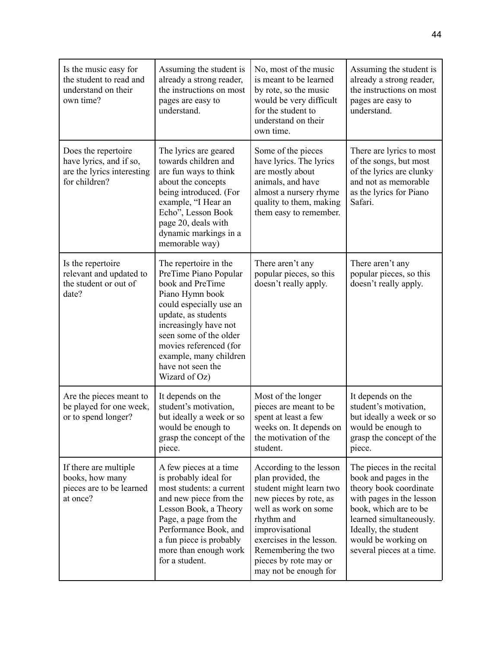| Is the music easy for<br>the student to read and<br>understand on their<br>own time?          | Assuming the student is<br>already a strong reader,<br>the instructions on most<br>pages are easy to<br>understand.                                                                                                                                                                  | No, most of the music<br>is meant to be learned<br>by rote, so the music<br>would be very difficult<br>for the student to<br>understand on their<br>own time.                                                                                                    | Assuming the student is<br>already a strong reader,<br>the instructions on most<br>pages are easy to<br>understand.                                                                                                                      |
|-----------------------------------------------------------------------------------------------|--------------------------------------------------------------------------------------------------------------------------------------------------------------------------------------------------------------------------------------------------------------------------------------|------------------------------------------------------------------------------------------------------------------------------------------------------------------------------------------------------------------------------------------------------------------|------------------------------------------------------------------------------------------------------------------------------------------------------------------------------------------------------------------------------------------|
| Does the repertoire<br>have lyrics, and if so,<br>are the lyrics interesting<br>for children? | The lyrics are geared<br>towards children and<br>are fun ways to think<br>about the concepts<br>being introduced. (For<br>example, "I Hear an<br>Echo", Lesson Book<br>page 20, deals with<br>dynamic markings in a<br>memorable way)                                                | Some of the pieces<br>have lyrics. The lyrics<br>are mostly about<br>animals, and have<br>almost a nursery rhyme<br>quality to them, making<br>them easy to remember.                                                                                            | There are lyrics to most<br>of the songs, but most<br>of the lyrics are clunky<br>and not as memorable<br>as the lyrics for Piano<br>Safari.                                                                                             |
| Is the repertoire<br>relevant and updated to<br>the student or out of<br>date?                | The repertoire in the<br>PreTime Piano Popular<br>book and PreTime<br>Piano Hymn book<br>could especially use an<br>update, as students<br>increasingly have not<br>seen some of the older<br>movies referenced (for<br>example, many children<br>have not seen the<br>Wizard of Oz) | There aren't any<br>popular pieces, so this<br>doesn't really apply.                                                                                                                                                                                             | There aren't any<br>popular pieces, so this<br>doesn't really apply.                                                                                                                                                                     |
| Are the pieces meant to<br>be played for one week,<br>or to spend longer?                     | It depends on the<br>student's motivation,<br>but ideally a week or so<br>would be enough to<br>grasp the concept of the<br>piece.                                                                                                                                                   | Most of the longer<br>pieces are meant to be<br>spent at least a few<br>weeks on. It depends on<br>the motivation of the<br>student.                                                                                                                             | It depends on the<br>student's motivation,<br>but ideally a week or so<br>would be enough to<br>grasp the concept of the<br>piece.                                                                                                       |
| If there are multiple<br>books, how many<br>pieces are to be learned<br>at once?              | A few pieces at a time<br>is probably ideal for<br>most students: a current<br>and new piece from the<br>Lesson Book, a Theory<br>Page, a page from the<br>Performance Book, and<br>a fun piece is probably<br>more than enough work<br>for a student.                               | According to the lesson<br>plan provided, the<br>student might learn two<br>new pieces by rote, as<br>well as work on some<br>rhythm and<br>improvisational<br>exercises in the lesson.<br>Remembering the two<br>pieces by rote may or<br>may not be enough for | The pieces in the recital<br>book and pages in the<br>theory book coordinate<br>with pages in the lesson<br>book, which are to be<br>learned simultaneously.<br>Ideally, the student<br>would be working on<br>several pieces at a time. |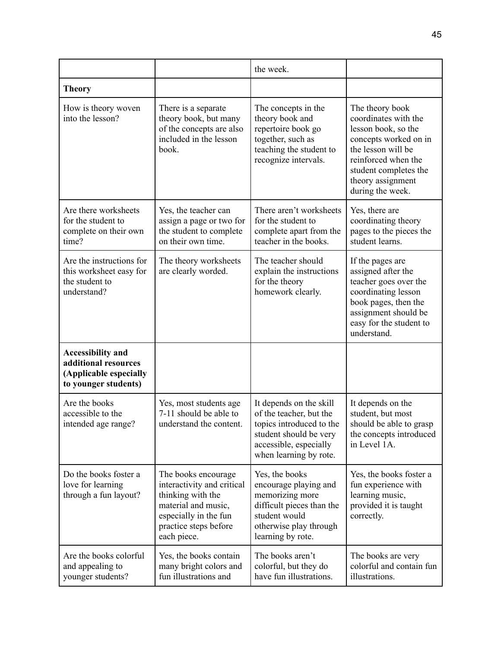|                                                                                                    |                                                                                                                                                                | the week.                                                                                                                                                    |                                                                                                                                                                                                        |
|----------------------------------------------------------------------------------------------------|----------------------------------------------------------------------------------------------------------------------------------------------------------------|--------------------------------------------------------------------------------------------------------------------------------------------------------------|--------------------------------------------------------------------------------------------------------------------------------------------------------------------------------------------------------|
| <b>Theory</b>                                                                                      |                                                                                                                                                                |                                                                                                                                                              |                                                                                                                                                                                                        |
| How is theory woven<br>into the lesson?                                                            | There is a separate<br>theory book, but many<br>of the concepts are also<br>included in the lesson<br>book.                                                    | The concepts in the<br>theory book and<br>repertoire book go<br>together, such as<br>teaching the student to<br>recognize intervals.                         | The theory book<br>coordinates with the<br>lesson book, so the<br>concepts worked on in<br>the lesson will be<br>reinforced when the<br>student completes the<br>theory assignment<br>during the week. |
| Are there worksheets<br>for the student to<br>complete on their own<br>time?                       | Yes, the teacher can<br>assign a page or two for<br>the student to complete<br>on their own time.                                                              | There aren't worksheets<br>for the student to<br>complete apart from the<br>teacher in the books.                                                            | Yes, there are<br>coordinating theory<br>pages to the pieces the<br>student learns.                                                                                                                    |
| Are the instructions for<br>this worksheet easy for<br>the student to<br>understand?               | The theory worksheets<br>are clearly worded.                                                                                                                   | The teacher should<br>explain the instructions<br>for the theory<br>homework clearly.                                                                        | If the pages are<br>assigned after the<br>teacher goes over the<br>coordinating lesson<br>book pages, then the<br>assignment should be<br>easy for the student to<br>understand.                       |
| <b>Accessibility and</b><br>additional resources<br>(Applicable especially<br>to younger students) |                                                                                                                                                                |                                                                                                                                                              |                                                                                                                                                                                                        |
| Are the books<br>accessible to the<br>intended age range?                                          | Yes, most students age<br>7-11 should be able to<br>understand the content.                                                                                    | It depends on the skill<br>of the teacher, but the<br>topics introduced to the<br>student should be very<br>accessible, especially<br>when learning by rote. | It depends on the<br>student, but most<br>should be able to grasp<br>the concepts introduced<br>in Level 1A.                                                                                           |
| Do the books foster a<br>love for learning<br>through a fun layout?                                | The books encourage<br>interactivity and critical<br>thinking with the<br>material and music,<br>especially in the fun<br>practice steps before<br>each piece. | Yes, the books<br>encourage playing and<br>memorizing more<br>difficult pieces than the<br>student would<br>otherwise play through<br>learning by rote.      | Yes, the books foster a<br>fun experience with<br>learning music,<br>provided it is taught<br>correctly.                                                                                               |
| Are the books colorful<br>and appealing to<br>younger students?                                    | Yes, the books contain<br>many bright colors and<br>fun illustrations and                                                                                      | The books aren't<br>colorful, but they do<br>have fun illustrations.                                                                                         | The books are very<br>colorful and contain fun<br>illustrations.                                                                                                                                       |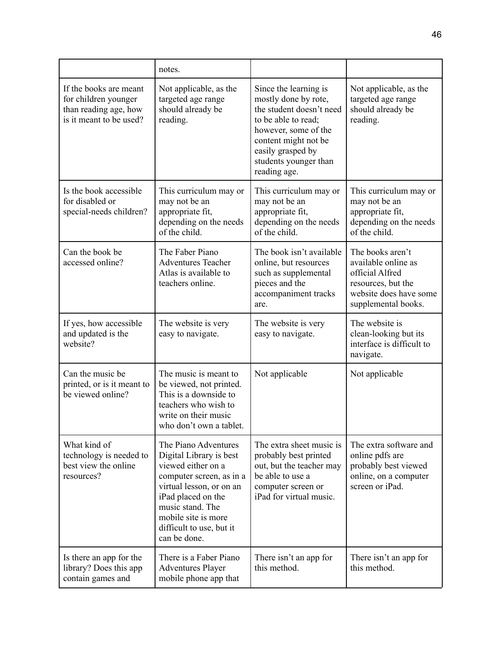|                                                                                                    | notes.                                                                                                                                                                                                                                     |                                                                                                                                                                                                                |                                                                                                                                   |
|----------------------------------------------------------------------------------------------------|--------------------------------------------------------------------------------------------------------------------------------------------------------------------------------------------------------------------------------------------|----------------------------------------------------------------------------------------------------------------------------------------------------------------------------------------------------------------|-----------------------------------------------------------------------------------------------------------------------------------|
| If the books are meant<br>for children younger<br>than reading age, how<br>is it meant to be used? | Not applicable, as the<br>targeted age range<br>should already be<br>reading.                                                                                                                                                              | Since the learning is<br>mostly done by rote,<br>the student doesn't need<br>to be able to read;<br>however, some of the<br>content might not be<br>easily grasped by<br>students younger than<br>reading age. | Not applicable, as the<br>targeted age range<br>should already be<br>reading.                                                     |
| Is the book accessible<br>for disabled or<br>special-needs children?                               | This curriculum may or<br>may not be an<br>appropriate fit,<br>depending on the needs<br>of the child.                                                                                                                                     | This curriculum may or<br>may not be an<br>appropriate fit,<br>depending on the needs<br>of the child.                                                                                                         | This curriculum may or<br>may not be an<br>appropriate fit,<br>depending on the needs<br>of the child.                            |
| Can the book be<br>accessed online?                                                                | The Faber Piano<br><b>Adventures Teacher</b><br>Atlas is available to<br>teachers online.                                                                                                                                                  | The book isn't available<br>online, but resources<br>such as supplemental<br>pieces and the<br>accompaniment tracks<br>are.                                                                                    | The books aren't<br>available online as<br>official Alfred<br>resources, but the<br>website does have some<br>supplemental books. |
| If yes, how accessible<br>and updated is the<br>website?                                           | The website is very<br>easy to navigate.                                                                                                                                                                                                   | The website is very<br>easy to navigate.                                                                                                                                                                       | The website is<br>clean-looking but its<br>interface is difficult to<br>navigate.                                                 |
| Can the music be<br>printed, or is it meant to<br>be viewed online?                                | The music is meant to<br>be viewed, not printed.<br>This is a downside to<br>teachers who wish to<br>write on their music<br>who don't own a tablet.                                                                                       | Not applicable                                                                                                                                                                                                 | Not applicable                                                                                                                    |
| What kind of<br>technology is needed to<br>best view the online<br>resources?                      | The Piano Adventures<br>Digital Library is best<br>viewed either on a<br>computer screen, as in a<br>virtual lesson, or on an<br>iPad placed on the<br>music stand. The<br>mobile site is more<br>difficult to use, but it<br>can be done. | The extra sheet music is<br>probably best printed<br>out, but the teacher may<br>be able to use a<br>computer screen or<br>iPad for virtual music.                                                             | The extra software and<br>online pdfs are<br>probably best viewed<br>online, on a computer<br>screen or iPad.                     |
| Is there an app for the<br>library? Does this app<br>contain games and                             | There is a Faber Piano<br><b>Adventures Player</b><br>mobile phone app that                                                                                                                                                                | There isn't an app for<br>this method.                                                                                                                                                                         | There isn't an app for<br>this method.                                                                                            |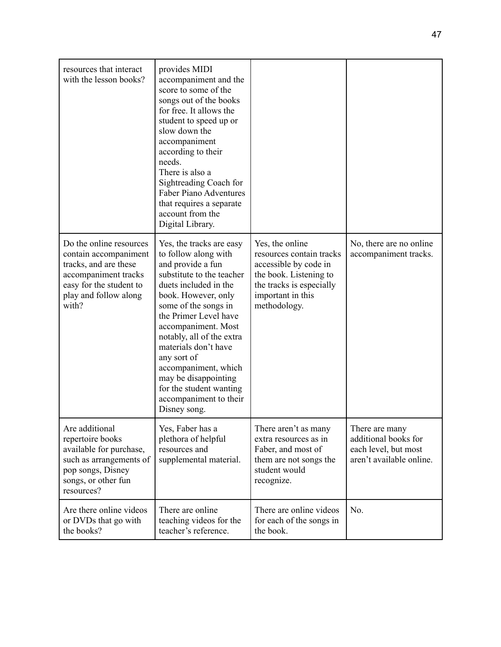| resources that interact<br>with the lesson books?                                                                                                              | provides MIDI<br>accompaniment and the<br>score to some of the<br>songs out of the books<br>for free. It allows the<br>student to speed up or<br>slow down the<br>accompaniment<br>according to their<br>needs.<br>There is also a<br>Sightreading Coach for<br><b>Faber Piano Adventures</b><br>that requires a separate<br>account from the<br>Digital Library.                                                   |                                                                                                                                                                 |                                                                                            |
|----------------------------------------------------------------------------------------------------------------------------------------------------------------|---------------------------------------------------------------------------------------------------------------------------------------------------------------------------------------------------------------------------------------------------------------------------------------------------------------------------------------------------------------------------------------------------------------------|-----------------------------------------------------------------------------------------------------------------------------------------------------------------|--------------------------------------------------------------------------------------------|
| Do the online resources<br>contain accompaniment<br>tracks, and are these<br>accompaniment tracks<br>easy for the student to<br>play and follow along<br>with? | Yes, the tracks are easy<br>to follow along with<br>and provide a fun<br>substitute to the teacher<br>duets included in the<br>book. However, only<br>some of the songs in<br>the Primer Level have<br>accompaniment. Most<br>notably, all of the extra<br>materials don't have<br>any sort of<br>accompaniment, which<br>may be disappointing<br>for the student wanting<br>accompaniment to their<br>Disney song. | Yes, the online<br>resources contain tracks<br>accessible by code in<br>the book. Listening to<br>the tracks is especially<br>important in this<br>methodology. | No, there are no online<br>accompaniment tracks.                                           |
| Are additional<br>repertoire books<br>available for purchase,<br>such as arrangements of<br>pop songs, Disney<br>songs, or other fun<br>resources?             | Yes, Faber has a<br>plethora of helpful<br>resources and<br>supplemental material.                                                                                                                                                                                                                                                                                                                                  | There aren't as many<br>extra resources as in<br>Faber, and most of<br>them are not songs the<br>student would<br>recognize.                                    | There are many<br>additional books for<br>each level, but most<br>aren't available online. |
| Are there online videos<br>or DVDs that go with<br>the books?                                                                                                  | There are online<br>teaching videos for the<br>teacher's reference.                                                                                                                                                                                                                                                                                                                                                 | There are online videos<br>for each of the songs in<br>the book.                                                                                                | No.                                                                                        |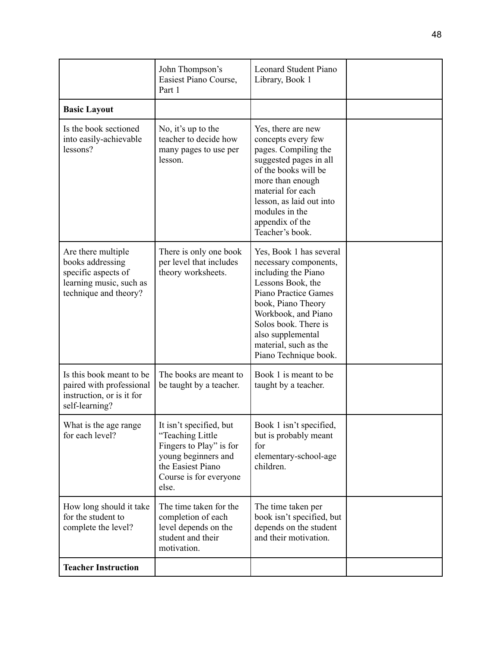|                                                                                                                   | John Thompson's<br>Easiest Piano Course,<br>Part 1                                                                                                    | <b>Leonard Student Piano</b><br>Library, Book 1                                                                                                                                                                                                                         |  |
|-------------------------------------------------------------------------------------------------------------------|-------------------------------------------------------------------------------------------------------------------------------------------------------|-------------------------------------------------------------------------------------------------------------------------------------------------------------------------------------------------------------------------------------------------------------------------|--|
| <b>Basic Layout</b>                                                                                               |                                                                                                                                                       |                                                                                                                                                                                                                                                                         |  |
| Is the book sectioned<br>into easily-achievable<br>lessons?                                                       | No, it's up to the<br>teacher to decide how<br>many pages to use per<br>lesson.                                                                       | Yes, there are new<br>concepts every few<br>pages. Compiling the<br>suggested pages in all<br>of the books will be<br>more than enough<br>material for each<br>lesson, as laid out into<br>modules in the<br>appendix of the<br>Teacher's book.                         |  |
| Are there multiple<br>books addressing<br>specific aspects of<br>learning music, such as<br>technique and theory? | There is only one book<br>per level that includes<br>theory worksheets.                                                                               | Yes, Book 1 has several<br>necessary components,<br>including the Piano<br>Lessons Book, the<br><b>Piano Practice Games</b><br>book, Piano Theory<br>Workbook, and Piano<br>Solos book. There is<br>also supplemental<br>material, such as the<br>Piano Technique book. |  |
| Is this book meant to be<br>paired with professional<br>instruction, or is it for<br>self-learning?               | The books are meant to<br>be taught by a teacher.                                                                                                     | Book 1 is meant to be<br>taught by a teacher.                                                                                                                                                                                                                           |  |
| What is the age range<br>for each level?                                                                          | It isn't specified, but<br>"Teaching Little<br>Fingers to Play" is for<br>young beginners and<br>the Easiest Piano<br>Course is for everyone<br>else. | Book 1 isn't specified,<br>but is probably meant<br>for<br>elementary-school-age<br>children.                                                                                                                                                                           |  |
| How long should it take<br>for the student to<br>complete the level?                                              | The time taken for the<br>completion of each<br>level depends on the<br>student and their<br>motivation.                                              | The time taken per<br>book isn't specified, but<br>depends on the student<br>and their motivation.                                                                                                                                                                      |  |
| <b>Teacher Instruction</b>                                                                                        |                                                                                                                                                       |                                                                                                                                                                                                                                                                         |  |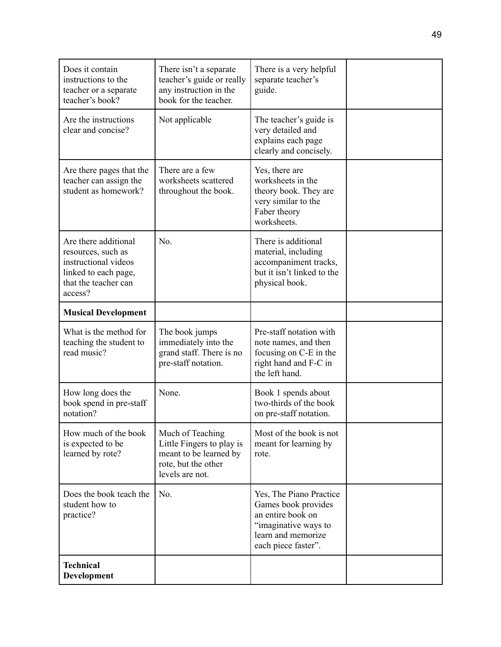| Does it contain<br>instructions to the<br>teacher or a separate<br>teacher's book?                                            | There isn't a separate<br>teacher's guide or really<br>any instruction in the<br>book for the teacher.            | There is a very helpful<br>separate teacher's<br>guide.                                                                                  |  |
|-------------------------------------------------------------------------------------------------------------------------------|-------------------------------------------------------------------------------------------------------------------|------------------------------------------------------------------------------------------------------------------------------------------|--|
| Are the instructions<br>clear and concise?                                                                                    | Not applicable                                                                                                    | The teacher's guide is<br>very detailed and<br>explains each page<br>clearly and concisely.                                              |  |
| Are there pages that the<br>teacher can assign the<br>student as homework?                                                    | There are a few<br>worksheets scattered<br>throughout the book.                                                   | Yes, there are<br>worksheets in the<br>theory book. They are<br>very similar to the<br>Faber theory<br>worksheets.                       |  |
| Are there additional<br>resources, such as<br>instructional videos<br>linked to each page,<br>that the teacher can<br>access? | No.                                                                                                               | There is additional<br>material, including<br>accompaniment tracks,<br>but it isn't linked to the<br>physical book.                      |  |
| <b>Musical Development</b>                                                                                                    |                                                                                                                   |                                                                                                                                          |  |
| What is the method for<br>teaching the student to<br>read music?                                                              | The book jumps<br>immediately into the<br>grand staff. There is no<br>pre-staff notation.                         | Pre-staff notation with<br>note names, and then<br>focusing on C-E in the<br>right hand and F-C in<br>the left hand.                     |  |
| How long does the<br>book spend in pre-staff<br>notation?                                                                     | None.                                                                                                             | Book 1 spends about<br>two-thirds of the book<br>on pre-staff notation.                                                                  |  |
| How much of the book<br>is expected to be<br>learned by rote?                                                                 | Much of Teaching<br>Little Fingers to play is<br>meant to be learned by<br>rote, but the other<br>levels are not. | Most of the book is not<br>meant for learning by<br>rote.                                                                                |  |
| Does the book teach the<br>student how to<br>practice?                                                                        | No.                                                                                                               | Yes, The Piano Practice<br>Games book provides<br>an entire book on<br>"imaginative ways to<br>learn and memorize<br>each piece faster". |  |
| <b>Technical</b><br>Development                                                                                               |                                                                                                                   |                                                                                                                                          |  |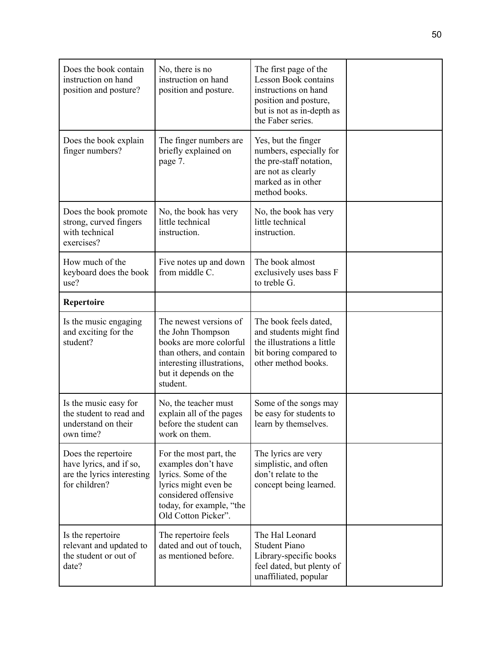| Does the book contain<br>instruction on hand<br>position and posture?                         | No, there is no<br>instruction on hand<br>position and posture.                                                                                                         | The first page of the<br><b>Lesson Book contains</b><br>instructions on hand<br>position and posture,<br>but is not as in-depth as<br>the Faber series. |  |
|-----------------------------------------------------------------------------------------------|-------------------------------------------------------------------------------------------------------------------------------------------------------------------------|---------------------------------------------------------------------------------------------------------------------------------------------------------|--|
| Does the book explain<br>finger numbers?                                                      | The finger numbers are.<br>briefly explained on<br>page 7.                                                                                                              | Yes, but the finger<br>numbers, especially for<br>the pre-staff notation,<br>are not as clearly<br>marked as in other<br>method books.                  |  |
| Does the book promote<br>strong, curved fingers<br>with technical<br>exercises?               | No, the book has very<br>little technical<br>instruction.                                                                                                               | No, the book has very<br>little technical<br>instruction.                                                                                               |  |
| How much of the<br>keyboard does the book<br>use?                                             | Five notes up and down<br>from middle C.                                                                                                                                | The book almost<br>exclusively uses bass F<br>to treble G.                                                                                              |  |
| Repertoire                                                                                    |                                                                                                                                                                         |                                                                                                                                                         |  |
| Is the music engaging<br>and exciting for the<br>student?                                     | The newest versions of<br>the John Thompson<br>books are more colorful<br>than others, and contain<br>interesting illustrations,<br>but it depends on the<br>student.   | The book feels dated,<br>and students might find<br>the illustrations a little<br>bit boring compared to<br>other method books.                         |  |
| Is the music easy for<br>the student to read and<br>understand on their<br>own time?          | No, the teacher must<br>explain all of the pages<br>before the student can<br>work on them.                                                                             | Some of the songs may<br>be easy for students to<br>learn by themselves.                                                                                |  |
| Does the repertoire<br>have lyrics, and if so,<br>are the lyrics interesting<br>for children? | For the most part, the<br>examples don't have<br>lyrics. Some of the<br>lyrics might even be<br>considered offensive<br>today, for example, "the<br>Old Cotton Picker". | The lyrics are very<br>simplistic, and often<br>don't relate to the<br>concept being learned.                                                           |  |
| Is the repertoire<br>relevant and updated to<br>the student or out of<br>date?                | The repertoire feels<br>dated and out of touch,<br>as mentioned before.                                                                                                 | The Hal Leonard<br><b>Student Piano</b><br>Library-specific books<br>feel dated, but plenty of<br>unaffiliated, popular                                 |  |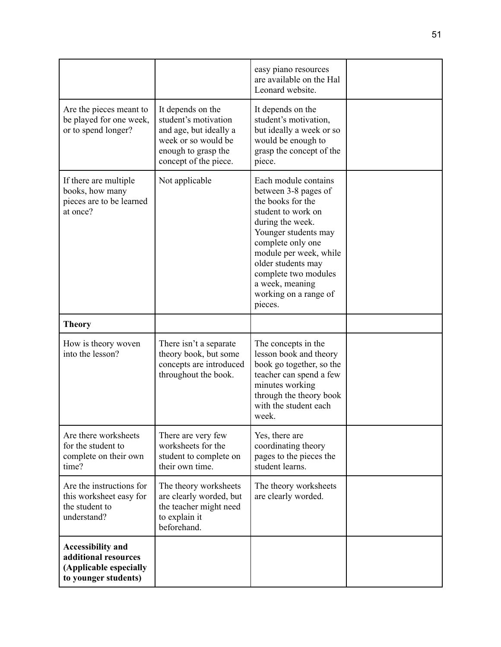|                                                                                                    |                                                                                                                                            | easy piano resources                                                                                                                                                                                                                                                                    |  |
|----------------------------------------------------------------------------------------------------|--------------------------------------------------------------------------------------------------------------------------------------------|-----------------------------------------------------------------------------------------------------------------------------------------------------------------------------------------------------------------------------------------------------------------------------------------|--|
|                                                                                                    |                                                                                                                                            | are available on the Hal<br>Leonard website.                                                                                                                                                                                                                                            |  |
| Are the pieces meant to<br>be played for one week,<br>or to spend longer?                          | It depends on the<br>student's motivation<br>and age, but ideally a<br>week or so would be<br>enough to grasp the<br>concept of the piece. | It depends on the<br>student's motivation,<br>but ideally a week or so<br>would be enough to<br>grasp the concept of the<br>piece.                                                                                                                                                      |  |
| If there are multiple<br>books, how many<br>pieces are to be learned<br>at once?                   | Not applicable                                                                                                                             | Each module contains<br>between 3-8 pages of<br>the books for the<br>student to work on<br>during the week.<br>Younger students may<br>complete only one<br>module per week, while<br>older students may<br>complete two modules<br>a week, meaning<br>working on a range of<br>pieces. |  |
| <b>Theory</b>                                                                                      |                                                                                                                                            |                                                                                                                                                                                                                                                                                         |  |
| How is theory woven<br>into the lesson?                                                            | There isn't a separate<br>theory book, but some<br>concepts are introduced<br>throughout the book.                                         | The concepts in the<br>lesson book and theory<br>book go together, so the<br>teacher can spend a few<br>minutes working<br>through the theory book<br>with the student each<br>week.                                                                                                    |  |
| Are there worksheets<br>for the student to<br>complete on their own<br>time?                       | There are very few<br>worksheets for the<br>student to complete on<br>their own time.                                                      | Yes, there are<br>coordinating theory<br>pages to the pieces the<br>student learns.                                                                                                                                                                                                     |  |
| Are the instructions for<br>this worksheet easy for<br>the student to<br>understand?               | The theory worksheets<br>are clearly worded, but<br>the teacher might need<br>to explain it<br>beforehand.                                 | The theory worksheets<br>are clearly worded.                                                                                                                                                                                                                                            |  |
| <b>Accessibility and</b><br>additional resources<br>(Applicable especially<br>to younger students) |                                                                                                                                            |                                                                                                                                                                                                                                                                                         |  |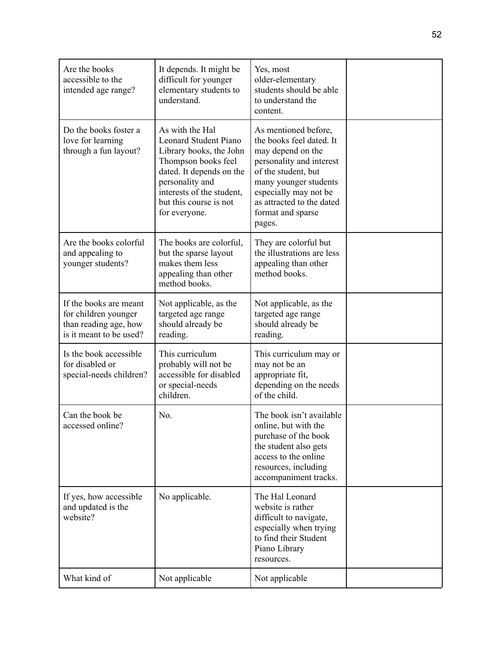| Are the books<br>accessible to the<br>intended age range?                                          | It depends. It might be<br>difficult for younger<br>elementary students to<br>understand.                                                                                                                                | Yes, most<br>older-elementary<br>students should be able<br>to understand the<br>content.                                                                                                                                              |  |
|----------------------------------------------------------------------------------------------------|--------------------------------------------------------------------------------------------------------------------------------------------------------------------------------------------------------------------------|----------------------------------------------------------------------------------------------------------------------------------------------------------------------------------------------------------------------------------------|--|
| Do the books foster a<br>love for learning<br>through a fun layout?                                | As with the Hal<br><b>Leonard Student Piano</b><br>Library books, the John<br>Thompson books feel<br>dated. It depends on the<br>personality and<br>interests of the student,<br>but this course is not<br>for everyone. | As mentioned before,<br>the books feel dated. It<br>may depend on the<br>personality and interest<br>of the student, but<br>many younger students<br>especially may not be<br>as attracted to the dated<br>format and sparse<br>pages. |  |
| Are the books colorful<br>and appealing to<br>younger students?                                    | The books are colorful,<br>but the sparse layout<br>makes them less<br>appealing than other<br>method books.                                                                                                             | They are colorful but<br>the illustrations are less<br>appealing than other<br>method books.                                                                                                                                           |  |
| If the books are meant<br>for children younger<br>than reading age, how<br>is it meant to be used? | Not applicable, as the<br>targeted age range<br>should already be<br>reading.                                                                                                                                            | Not applicable, as the<br>targeted age range<br>should already be<br>reading.                                                                                                                                                          |  |
| Is the book accessible<br>for disabled or<br>special-needs children?                               | This curriculum<br>probably will not be<br>accessible for disabled<br>or special-needs<br>children.                                                                                                                      | This curriculum may or<br>may not be an<br>appropriate fit,<br>depending on the needs<br>of the child.                                                                                                                                 |  |
| Can the book be<br>accessed online?                                                                | No.                                                                                                                                                                                                                      | The book isn't available<br>online, but with the<br>purchase of the book<br>the student also gets<br>access to the online<br>resources, including<br>accompaniment tracks.                                                             |  |
| If yes, how accessible<br>and updated is the<br>website?                                           | No applicable.                                                                                                                                                                                                           | The Hal Leonard<br>website is rather<br>difficult to navigate,<br>especially when trying<br>to find their Student<br>Piano Library<br>resources.                                                                                       |  |
| What kind of                                                                                       | Not applicable                                                                                                                                                                                                           | Not applicable                                                                                                                                                                                                                         |  |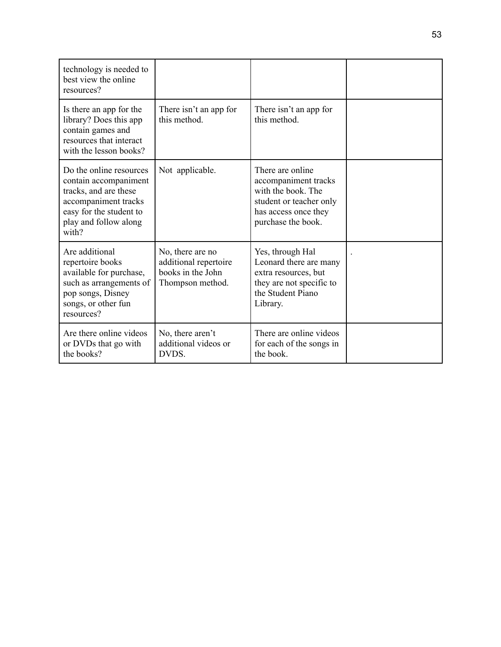| technology is needed to<br>best view the online<br>resources?                                                                                                  |                                                                                    |                                                                                                                                         |  |
|----------------------------------------------------------------------------------------------------------------------------------------------------------------|------------------------------------------------------------------------------------|-----------------------------------------------------------------------------------------------------------------------------------------|--|
| Is there an app for the<br>library? Does this app<br>contain games and<br>resources that interact<br>with the lesson books?                                    | There isn't an app for<br>this method.                                             | There isn't an app for<br>this method.                                                                                                  |  |
| Do the online resources<br>contain accompaniment<br>tracks, and are these<br>accompaniment tracks<br>easy for the student to<br>play and follow along<br>with? | Not applicable.                                                                    | There are online<br>accompaniment tracks<br>with the book. The<br>student or teacher only<br>has access once they<br>purchase the book. |  |
| Are additional<br>repertoire books<br>available for purchase,<br>such as arrangements of<br>pop songs, Disney<br>songs, or other fun<br>resources?             | No, there are no<br>additional repertoire<br>books in the John<br>Thompson method. | Yes, through Hal<br>Leonard there are many<br>extra resources, but<br>they are not specific to<br>the Student Piano<br>Library.         |  |
| Are there online videos<br>or DVDs that go with<br>the books?                                                                                                  | No, there aren't<br>additional videos or<br>DVDS.                                  | There are online videos<br>for each of the songs in<br>the book.                                                                        |  |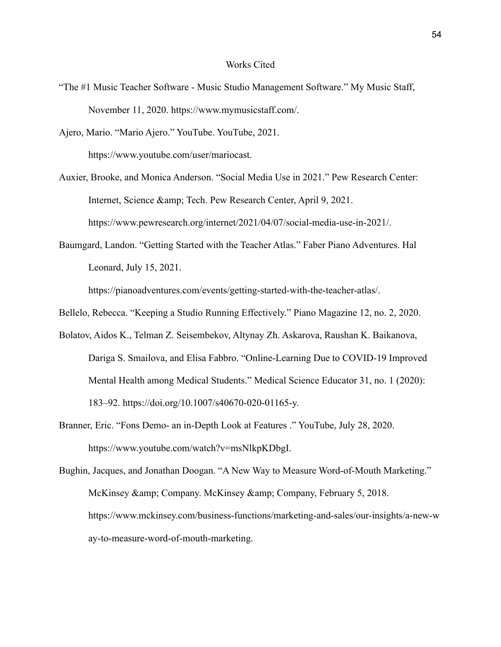#### Works Cited

"The #1 Music Teacher Software - Music Studio Management Software." My Music Staff, November 11, 2020. https://www.mymusicstaff.com/.

Ajero, Mario. "Mario Ajero." YouTube. YouTube, 2021. https://www.youtube.com/user/mariocast.

Auxier, Brooke, and Monica Anderson. "Social Media Use in 2021." Pew Research Center: Internet, Science & amp; Tech. Pew Research Center, April 9, 2021. https://www.pewresearch.org/internet/2021/04/07/social-media-use-in-2021/.

Baumgard, Landon. "Getting Started with the Teacher Atlas." Faber Piano Adventures. Hal Leonard, July 15, 2021.

https://pianoadventures.com/events/getting-started-with-the-teacher-atlas/.

- Bellelo, Rebecca. "Keeping a Studio Running Effectively." Piano Magazine 12, no. 2, 2020.
- Bolatov, Aidos K., Telman Z. Seisembekov, Altynay Zh. Askarova, Raushan K. Baikanova, Dariga S. Smailova, and Elisa Fabbro. "Online-Learning Due to COVID-19 Improved Mental Health among Medical Students." Medical Science Educator 31, no. 1 (2020): 183–92. https://doi.org/10.1007/s40670-020-01165-y.
- Branner, Eric. "Fons Demo- an in-Depth Look at Features ." YouTube, July 28, 2020. https://www.youtube.com/watch?v=msNlkpKDbgI.

Bughin, Jacques, and Jonathan Doogan. "A New Way to Measure Word-of-Mouth Marketing." McKinsey & amp; Company. McKinsey & amp; Company, February 5, 2018. https://www.mckinsey.com/business-functions/marketing-and-sales/our-insights/a-new-w ay-to-measure-word-of-mouth-marketing.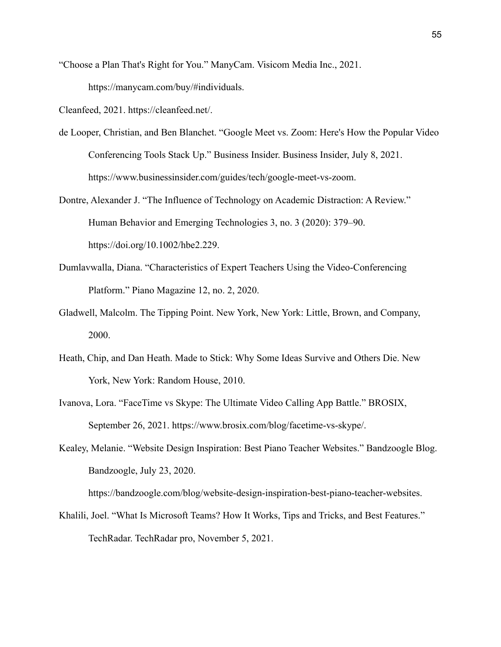"Choose a Plan That's Right for You." ManyCam. Visicom Media Inc., 2021.

https://manycam.com/buy/#individuals.

Cleanfeed, 2021. https://cleanfeed.net/.

- de Looper, Christian, and Ben Blanchet. "Google Meet vs. Zoom: Here's How the Popular Video Conferencing Tools Stack Up." Business Insider. Business Insider, July 8, 2021. https://www.businessinsider.com/guides/tech/google-meet-vs-zoom.
- Dontre, Alexander J. "The Influence of Technology on Academic Distraction: A Review." Human Behavior and Emerging Technologies 3, no. 3 (2020): 379–90. https://doi.org/10.1002/hbe2.229.
- Dumlavwalla, Diana. "Characteristics of Expert Teachers Using the Video-Conferencing Platform." Piano Magazine 12, no. 2, 2020.
- Gladwell, Malcolm. The Tipping Point. New York, New York: Little, Brown, and Company, 2000.
- Heath, Chip, and Dan Heath. Made to Stick: Why Some Ideas Survive and Others Die. New York, New York: Random House, 2010.
- Ivanova, Lora. "FaceTime vs Skype: The Ultimate Video Calling App Battle." BROSIX, September 26, 2021. https://www.brosix.com/blog/facetime-vs-skype/.
- Kealey, Melanie. "Website Design Inspiration: Best Piano Teacher Websites." Bandzoogle Blog. Bandzoogle, July 23, 2020.

https://bandzoogle.com/blog/website-design-inspiration-best-piano-teacher-websites.

Khalili, Joel. "What Is Microsoft Teams? How It Works, Tips and Tricks, and Best Features." TechRadar. TechRadar pro, November 5, 2021.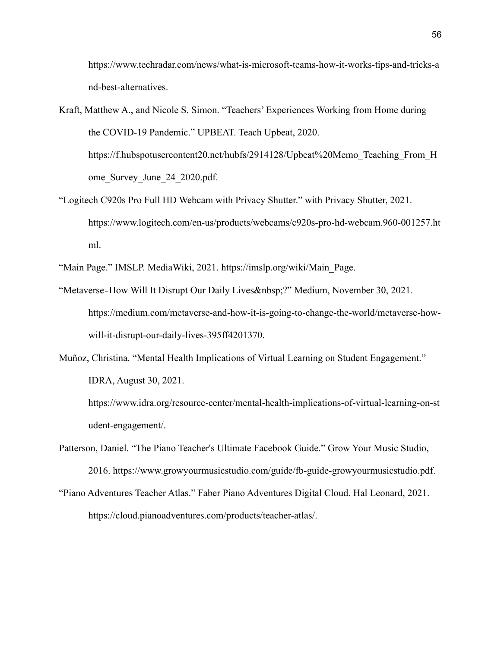https://www.techradar.com/news/what-is-microsoft-teams-how-it-works-tips-and-tricks-a nd-best-alternatives.

- Kraft, Matthew A., and Nicole S. Simon. "Teachers' Experiences Working from Home during the COVID-19 Pandemic." UPBEAT. Teach Upbeat, 2020. https://f.hubspotusercontent20.net/hubfs/2914128/Upbeat%20Memo\_Teaching\_From\_H\_ ome\_Survey\_June\_24\_2020.pdf.
- "Logitech C920s Pro Full HD Webcam with Privacy Shutter." with Privacy Shutter, 2021. https://www.logitech.com/en-us/products/webcams/c920s-pro-hd-webcam.960-001257.ht ml.

"Main Page." IMSLP. MediaWiki, 2021. https://imslp.org/wiki/Main\_Page.

- "Metaverse-How Will It Disrupt Our Daily Lives & nbsp;?" Medium, November 30, 2021. https://medium.com/metaverse-and-how-it-is-going-to-change-the-world/metaverse-howwill-it-disrupt-our-daily-lives-395ff4201370.
- Muñoz, Christina. "Mental Health Implications of Virtual Learning on Student Engagement." IDRA, August 30, 2021.

https://www.idra.org/resource-center/mental-health-implications-of-virtual-learning-on-st udent-engagement/.

- Patterson, Daniel. "The Piano Teacher's Ultimate Facebook Guide." Grow Your Music Studio, 2016. https://www.growyourmusicstudio.com/guide/fb-guide-growyourmusicstudio.pdf.
- "Piano Adventures Teacher Atlas." Faber Piano Adventures Digital Cloud. Hal Leonard, 2021. https://cloud.pianoadventures.com/products/teacher-atlas/.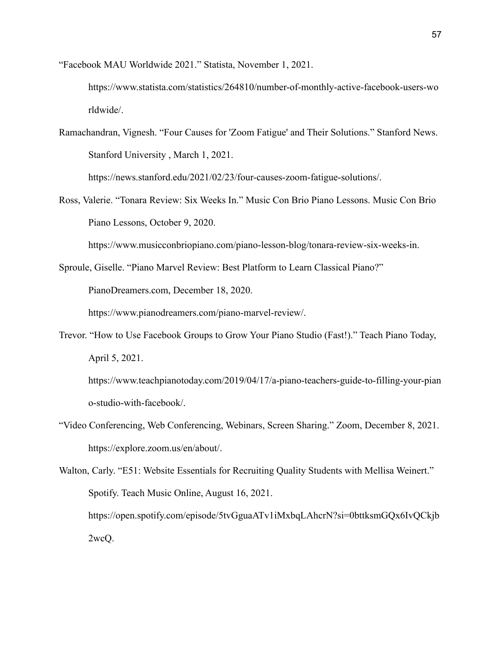"Facebook MAU Worldwide 2021." Statista, November 1, 2021.

https://www.statista.com/statistics/264810/number-of-monthly-active-facebook-users-wo rldwide/.

Ramachandran, Vignesh. "Four Causes for 'Zoom Fatigue' and Their Solutions." Stanford News. Stanford University , March 1, 2021.

https://news.stanford.edu/2021/02/23/four-causes-zoom-fatigue-solutions/.

Ross, Valerie. "Tonara Review: Six Weeks In." Music Con Brio Piano Lessons. Music Con Brio Piano Lessons, October 9, 2020.

https://www.musicconbriopiano.com/piano-lesson-blog/tonara-review-six-weeks-in.

Sproule, Giselle. "Piano Marvel Review: Best Platform to Learn Classical Piano?"

PianoDreamers.com, December 18, 2020.

https://www.pianodreamers.com/piano-marvel-review/.

Trevor. "How to Use Facebook Groups to Grow Your Piano Studio (Fast!)." Teach Piano Today, April 5, 2021.

https://www.teachpianotoday.com/2019/04/17/a-piano-teachers-guide-to-filling-your-pian o-studio-with-facebook/.

"Video Conferencing, Web Conferencing, Webinars, Screen Sharing." Zoom, December 8, 2021. https://explore.zoom.us/en/about/.

Walton, Carly. "E51: Website Essentials for Recruiting Quality Students with Mellisa Weinert." Spotify. Teach Music Online, August 16, 2021. https://open.spotify.com/episode/5tvGguaATv1iMxbqLAhcrN?si=0bttksmGQx6IvQCkjb 2wcQ.